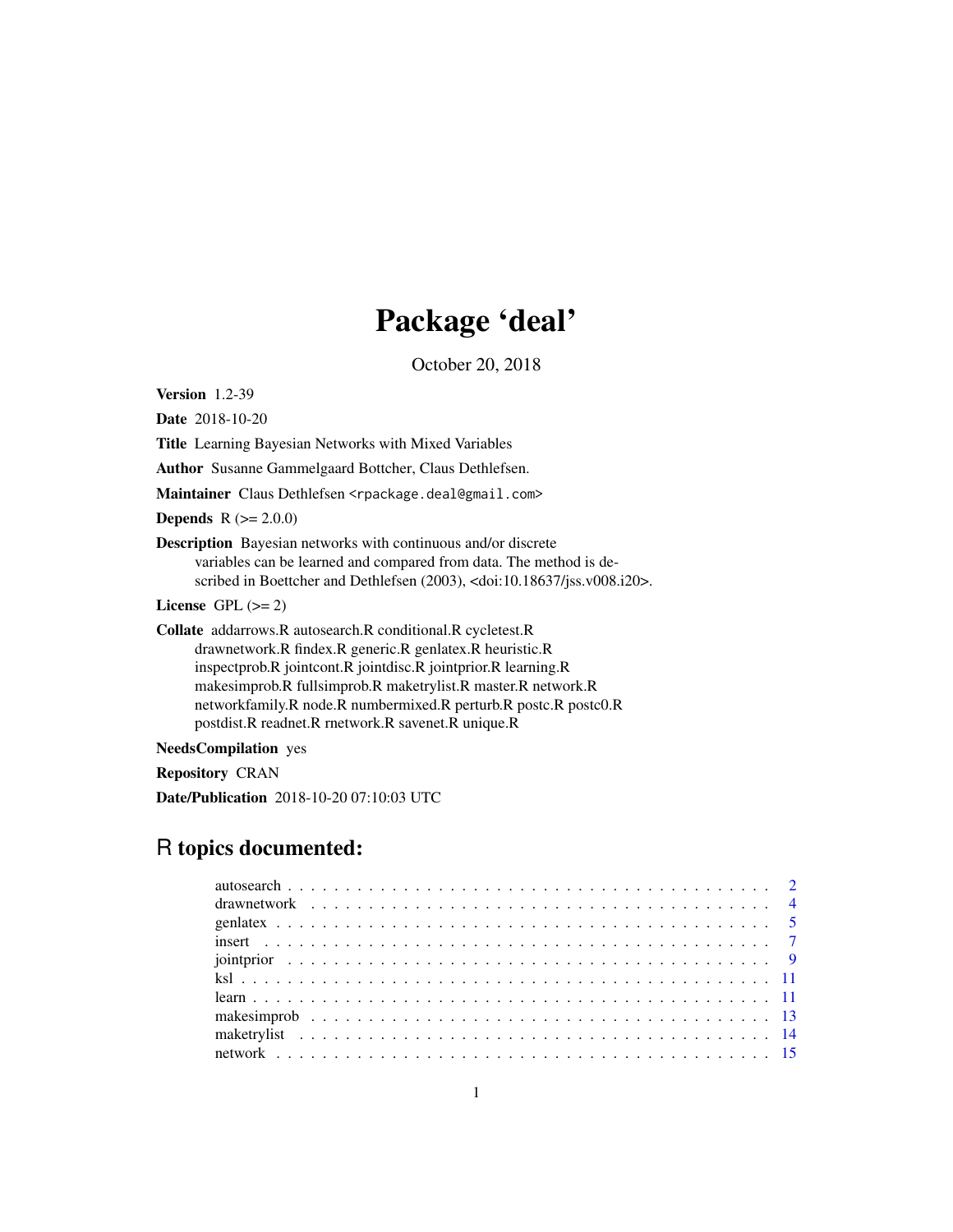# Package 'deal'

October 20, 2018

<span id="page-0-0"></span>Version 1.2-39

Date 2018-10-20

Title Learning Bayesian Networks with Mixed Variables

Author Susanne Gammelgaard Bottcher, Claus Dethlefsen.

Maintainer Claus Dethlefsen <rpackage.deal@gmail.com>

**Depends**  $R (= 2.0.0)$ 

Description Bayesian networks with continuous and/or discrete variables can be learned and compared from data. The method is described in Boettcher and Dethlefsen (2003), <doi:10.18637/jss.v008.i20>.

License GPL  $(>= 2)$ 

Collate addarrows.R autosearch.R conditional.R cycletest.R drawnetwork.R findex.R generic.R genlatex.R heuristic.R inspectprob.R jointcont.R jointdisc.R jointprior.R learning.R makesimprob.R fullsimprob.R maketrylist.R master.R network.R networkfamily.R node.R numbermixed.R perturb.R postc.R postc0.R postdist.R readnet.R rnetwork.R savenet.R unique.R

NeedsCompilation yes

Repository CRAN

Date/Publication 2018-10-20 07:10:03 UTC

# R topics documented: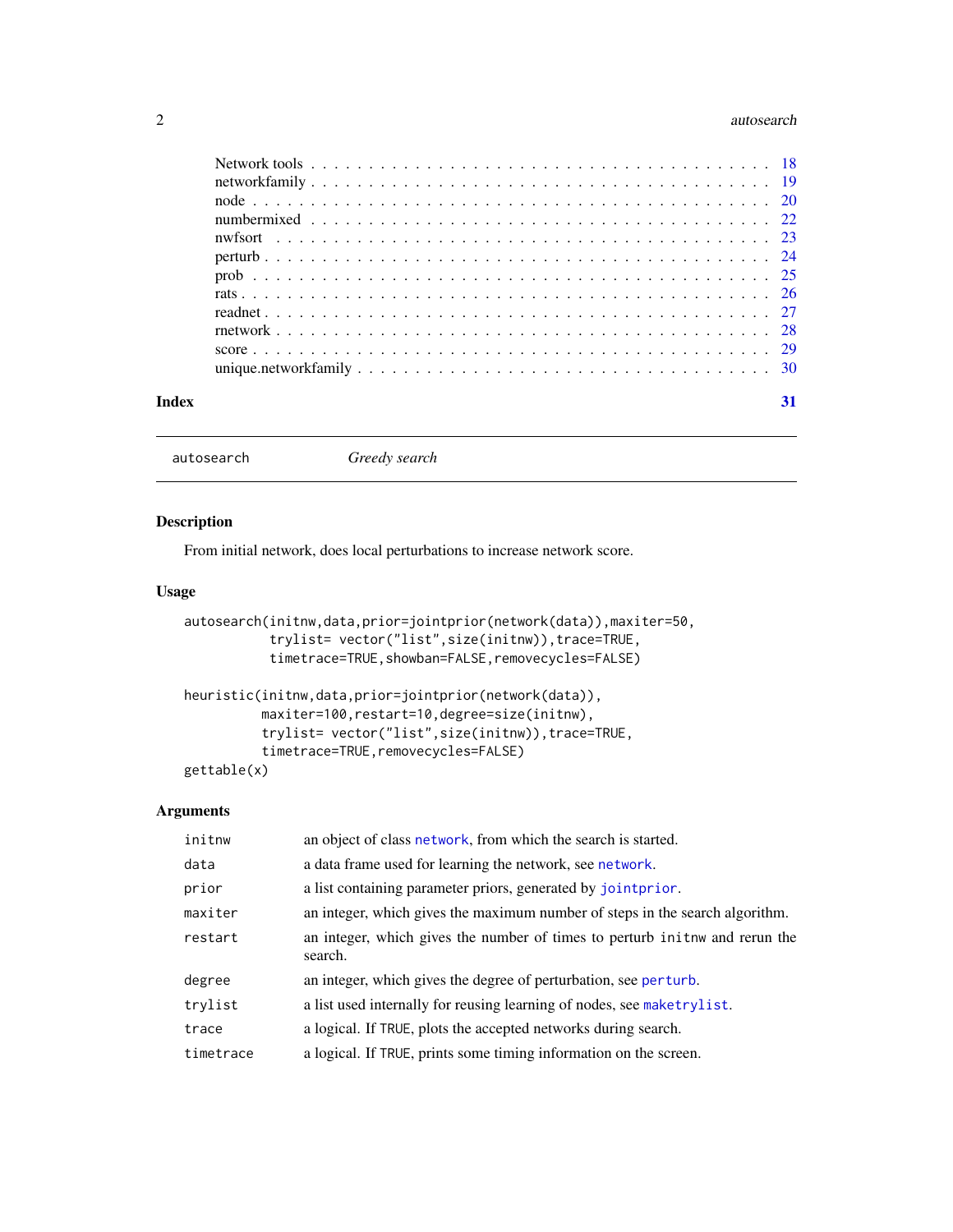#### <span id="page-1-0"></span>2 autosearch and the contract of the contract of the contract of the contract of the contract of the contract of the contract of the contract of the contract of the contract of the contract of the contract of the contract

<span id="page-1-2"></span>autosearch *Greedy search*

# <span id="page-1-1"></span>Description

From initial network, does local perturbations to increase network score.

# Usage

```
autosearch(initnw,data,prior=jointprior(network(data)),maxiter=50,
           trylist= vector("list",size(initnw)),trace=TRUE,
           timetrace=TRUE,showban=FALSE,removecycles=FALSE)
heuristic(initnw,data,prior=jointprior(network(data)),
         maxiter=100, restart=10, degree=size(initnw),
         trylist= vector("list",size(initnw)),trace=TRUE,
         timetrace=TRUE,removecycles=FALSE)
```
gettable(x)

# Arguments

| initnw    | an object of class network, from which the search is started.                          |
|-----------|----------------------------------------------------------------------------------------|
| data      | a data frame used for learning the network, see network.                               |
| prior     | a list containing parameter priors, generated by joint prior.                          |
| maxiter   | an integer, which gives the maximum number of steps in the search algorithm.           |
| restart   | an integer, which gives the number of times to perturb in the and rerun the<br>search. |
| degree    | an integer, which gives the degree of perturbation, see perturb.                       |
| trylist   | a list used internally for reusing learning of nodes, see maketrylist.                 |
| trace     | a logical. If TRUE, plots the accepted networks during search.                         |
| timetrace | a logical. If TRUE, prints some timing information on the screen.                      |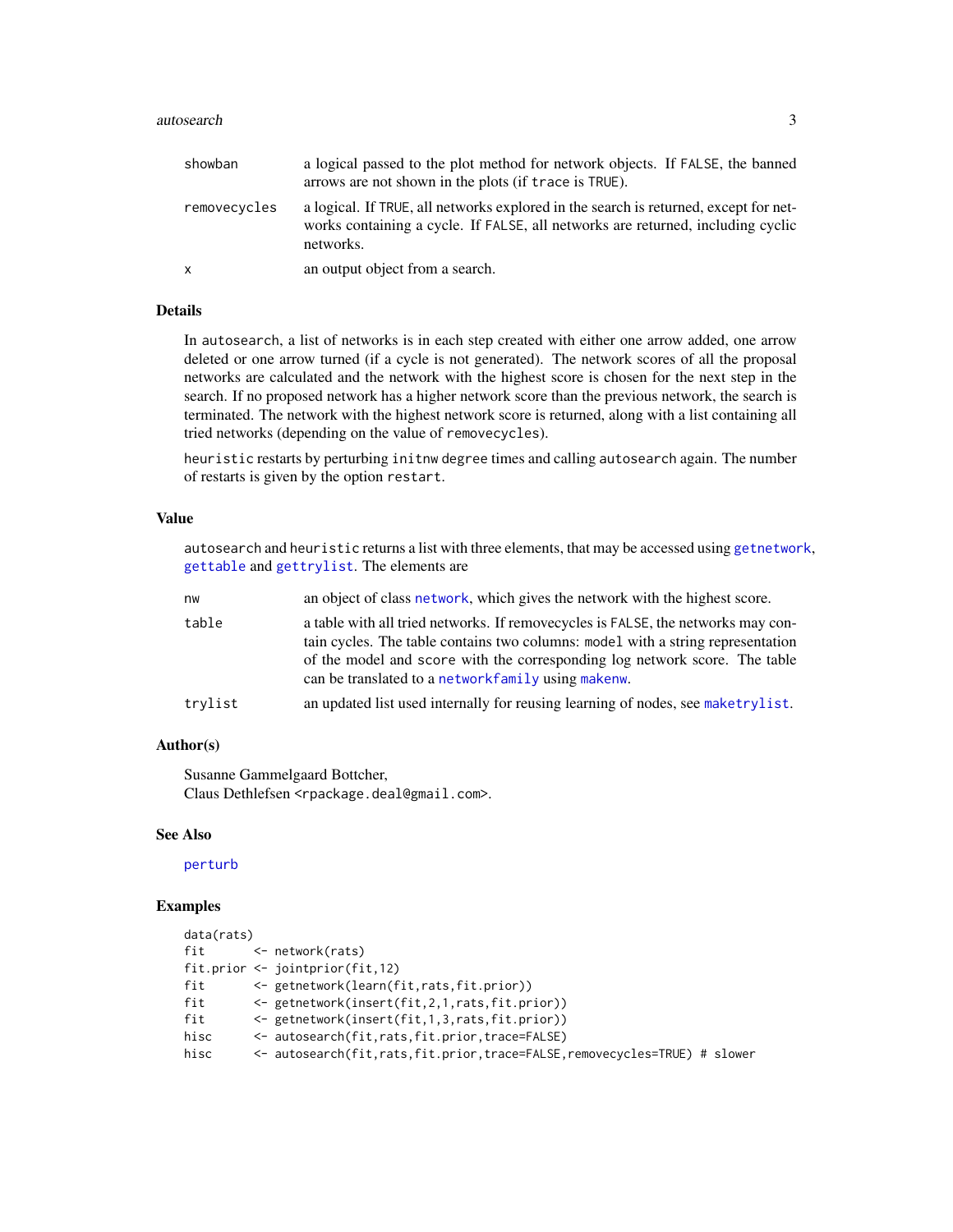#### <span id="page-2-0"></span>autosearch 3

| showban      | a logical passed to the plot method for network objects. If FALSE, the banned<br>arrows are not shown in the plots (if trace is TRUE).                                               |
|--------------|--------------------------------------------------------------------------------------------------------------------------------------------------------------------------------------|
| removecycles | a logical. If TRUE, all networks explored in the search is returned, except for net-<br>works containing a cycle. If FALSE, all networks are returned, including cyclic<br>networks. |
| $\mathsf{x}$ | an output object from a search.                                                                                                                                                      |

# Details

In autosearch, a list of networks is in each step created with either one arrow added, one arrow deleted or one arrow turned (if a cycle is not generated). The network scores of all the proposal networks are calculated and the network with the highest score is chosen for the next step in the search. If no proposed network has a higher network score than the previous network, the search is terminated. The network with the highest network score is returned, along with a list containing all tried networks (depending on the value of removecycles).

heuristic restarts by perturbing initnw degree times and calling autosearch again. The number of restarts is given by the option restart.

#### Value

autosearch and heuristic returns a list with three elements, that may be accessed using [getnetwork](#page-17-1), [gettable](#page-1-1) and [gettrylist](#page-17-1). The elements are

| nw      | an object of class network, which gives the network with the highest score.                                                                                                                                                                                                                               |
|---------|-----------------------------------------------------------------------------------------------------------------------------------------------------------------------------------------------------------------------------------------------------------------------------------------------------------|
| table   | a table with all tried networks. If remove cycles is FALSE, the networks may con-<br>tain cycles. The table contains two columns: model with a string representation<br>of the model and score with the corresponding log network score. The table<br>can be translated to a network family using makenw. |
| trylist | an updated list used internally for reusing learning of nodes, see maketrylist.                                                                                                                                                                                                                           |

#### Author(s)

Susanne Gammelgaard Bottcher, Claus Dethlefsen <rpackage.deal@gmail.com>.

#### See Also

#### [perturb](#page-23-1)

#### Examples

```
data(rats)
fit <- network(rats)
fit.prior <- jointprior(fit,12)
fit <- getnetwork(learn(fit,rats,fit.prior))
fit <- getnetwork(insert(fit,2,1,rats,fit.prior))
fit <- getnetwork(insert(fit,1,3,rats,fit.prior))
hisc <- autosearch(fit,rats,fit.prior,trace=FALSE)
hisc <- autosearch(fit,rats,fit.prior,trace=FALSE,removecycles=TRUE) # slower
```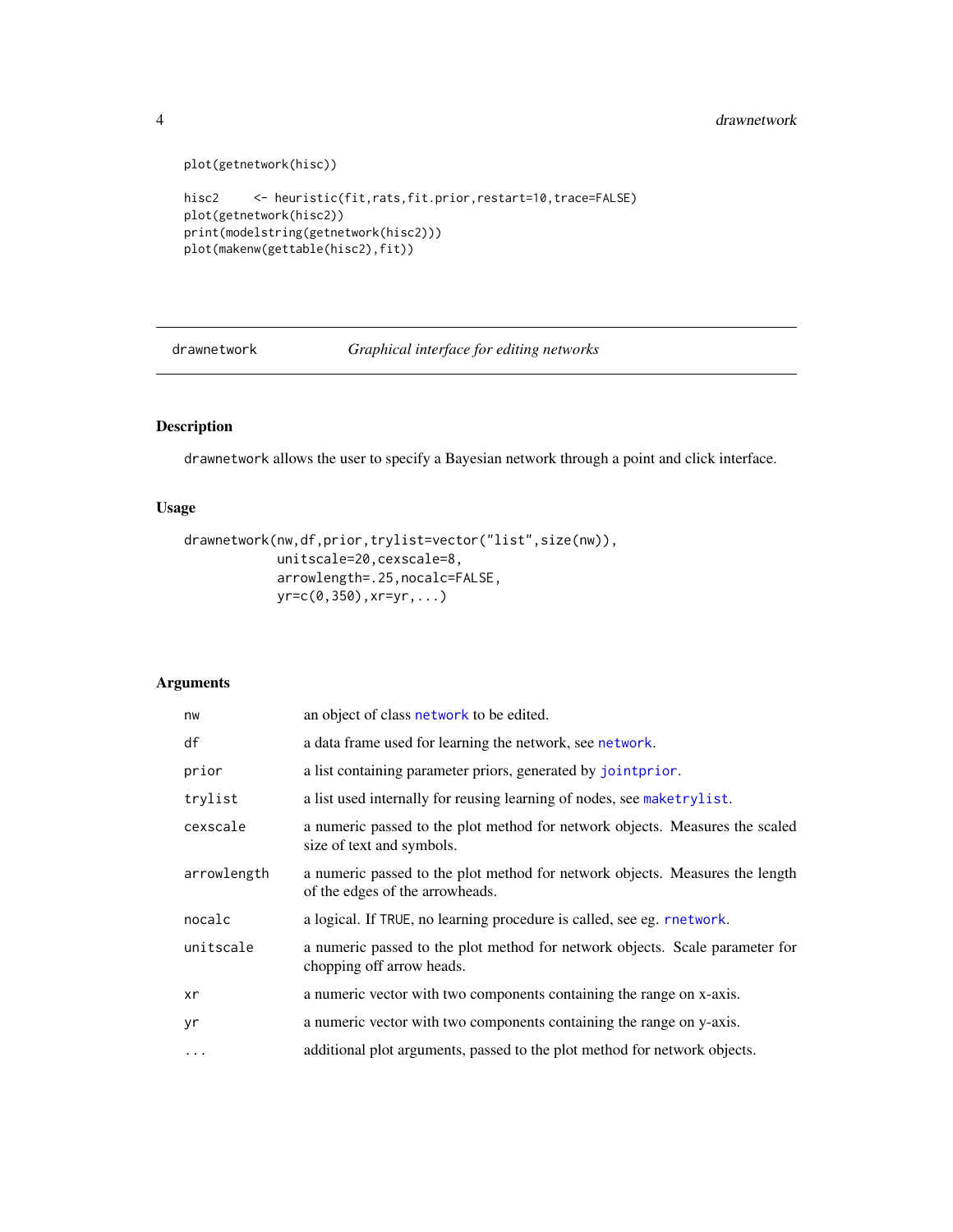```
plot(getnetwork(hisc))
hisc2 <- heuristic(fit,rats,fit.prior,restart=10,trace=FALSE)
plot(getnetwork(hisc2))
print(modelstring(getnetwork(hisc2)))
plot(makenw(gettable(hisc2),fit))
```
<span id="page-3-1"></span>drawnetwork *Graphical interface for editing networks*

# Description

drawnetwork allows the user to specify a Bayesian network through a point and click interface.

# Usage

```
drawnetwork(nw,df,prior,trylist=vector("list",size(nw)),
            unitscale=20,cexscale=8,
            arrowlength=.25,nocalc=FALSE,
            yr=c(0,350),xr=yr,...)
```
# Arguments

| nw          | an object of class network to be edited.                                                                        |
|-------------|-----------------------------------------------------------------------------------------------------------------|
| df          | a data frame used for learning the network, see network.                                                        |
| prior       | a list containing parameter priors, generated by jointprior.                                                    |
| trylist     | a list used internally for reusing learning of nodes, see maketrylist.                                          |
| cexscale    | a numeric passed to the plot method for network objects. Measures the scaled<br>size of text and symbols.       |
| arrowlength | a numeric passed to the plot method for network objects. Measures the length<br>of the edges of the arrowheads. |
| nocalc      | a logical. If TRUE, no learning procedure is called, see eg. rnetwork.                                          |
| unitscale   | a numeric passed to the plot method for network objects. Scale parameter for<br>chopping off arrow heads.       |
| xr          | a numeric vector with two components containing the range on x-axis.                                            |
| yr          | a numeric vector with two components containing the range on y-axis.                                            |
| $\cdots$    | additional plot arguments, passed to the plot method for network objects.                                       |

<span id="page-3-0"></span>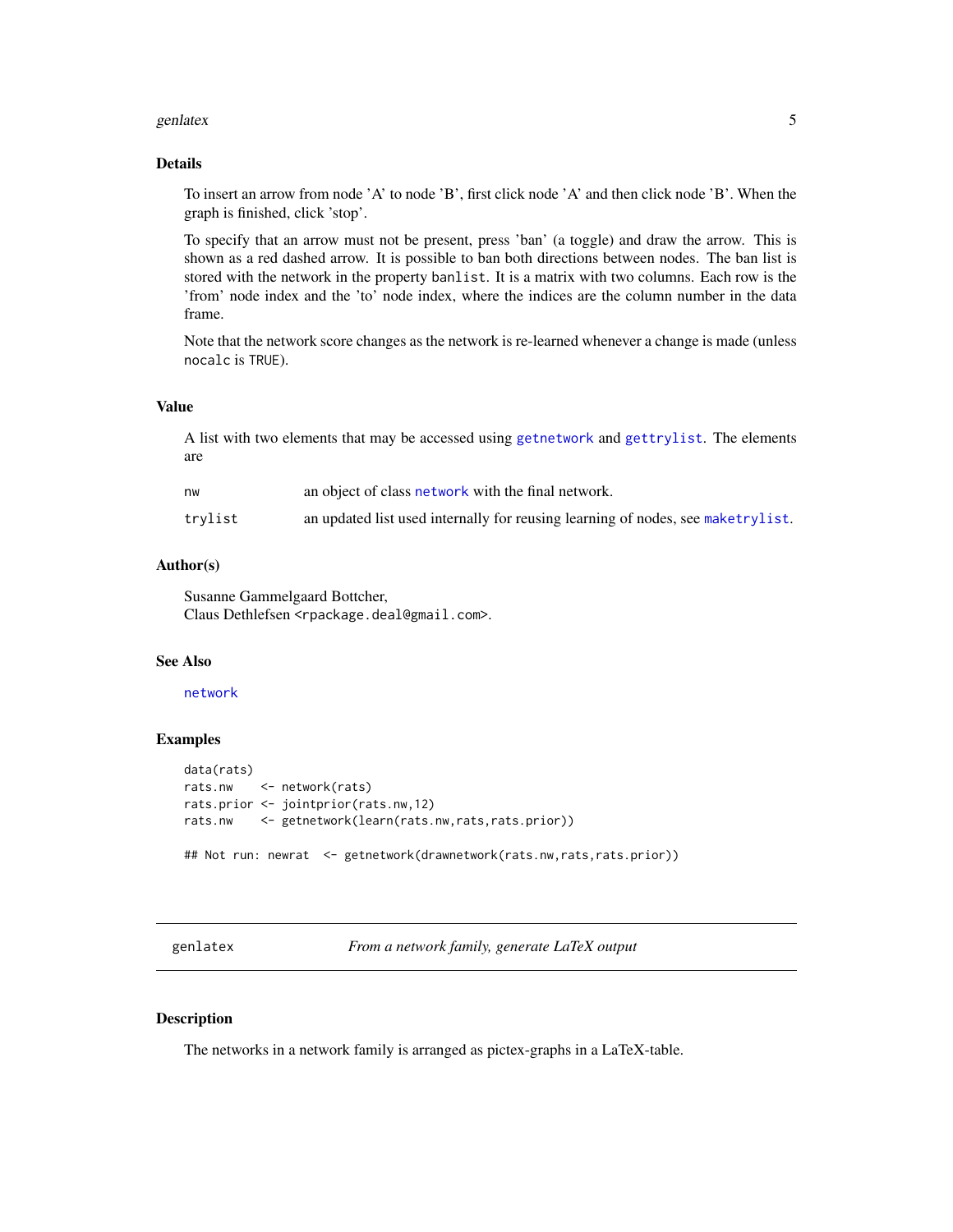#### <span id="page-4-0"></span>genlatex 5

# Details

To insert an arrow from node 'A' to node 'B', first click node 'A' and then click node 'B'. When the graph is finished, click 'stop'.

To specify that an arrow must not be present, press 'ban' (a toggle) and draw the arrow. This is shown as a red dashed arrow. It is possible to ban both directions between nodes. The ban list is stored with the network in the property banlist. It is a matrix with two columns. Each row is the 'from' node index and the 'to' node index, where the indices are the column number in the data frame.

Note that the network score changes as the network is re-learned whenever a change is made (unless nocalc is TRUE).

#### Value

A list with two elements that may be accessed using [getnetwork](#page-17-1) and [gettrylist](#page-17-1). The elements are

| nw      | an object of class network with the final network.                              |
|---------|---------------------------------------------------------------------------------|
| trylist | an updated list used internally for reusing learning of nodes, see maketrylist. |

#### Author(s)

Susanne Gammelgaard Bottcher, Claus Dethlefsen <rpackage.deal@gmail.com>.

# See Also

[network](#page-14-1)

#### Examples

```
data(rats)
rats.nw <- network(rats)
rats.prior <- jointprior(rats.nw,12)
rats.nw <- getnetwork(learn(rats.nw,rats,rats.prior))
## Not run: newrat <- getnetwork(drawnetwork(rats.nw,rats,rats.prior))
```
<span id="page-4-1"></span>genlatex *From a network family, generate LaTeX output*

# Description

The networks in a network family is arranged as pictex-graphs in a LaTeX-table.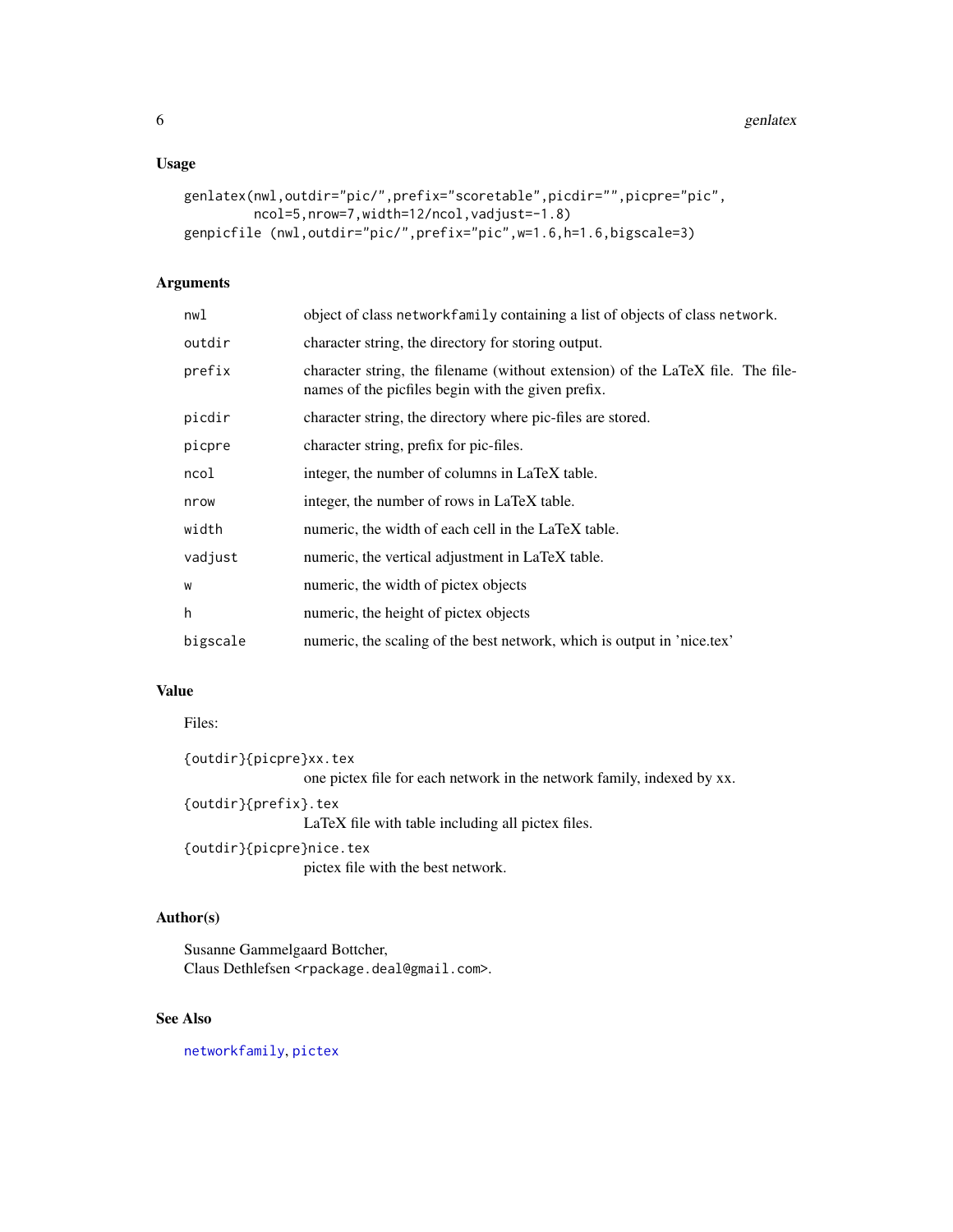# <span id="page-5-0"></span>Usage

```
genlatex(nwl,outdir="pic/",prefix="scoretable",picdir="",picpre="pic",
        ncol=5,nrow=7,width=12/ncol,vadjust=-1.8)
genpicfile (nwl,outdir="pic/",prefix="pic",w=1.6,h=1.6,bigscale=3)
```
# Arguments

| nwl      | object of class networkfamily containing a list of objects of class network.                                                          |
|----------|---------------------------------------------------------------------------------------------------------------------------------------|
| outdir   | character string, the directory for storing output.                                                                                   |
| prefix   | character string, the filename (without extension) of the LaTeX file. The file-<br>names of the picfiles begin with the given prefix. |
| picdir   | character string, the directory where pic-files are stored.                                                                           |
| picpre   | character string, prefix for pic-files.                                                                                               |
| ncol     | integer, the number of columns in LaTeX table.                                                                                        |
| nrow     | integer, the number of rows in LaTeX table.                                                                                           |
| width    | numeric, the width of each cell in the LaTeX table.                                                                                   |
| vadjust  | numeric, the vertical adjustment in LaTeX table.                                                                                      |
| W        | numeric, the width of pictex objects                                                                                                  |
| h        | numeric, the height of pictex objects                                                                                                 |
| bigscale | numeric, the scaling of the best network, which is output in 'nice.tex'                                                               |
|          |                                                                                                                                       |

# Value

#### Files:

{outdir}{picpre}xx.tex one pictex file for each network in the network family, indexed by xx. {outdir}{prefix}.tex LaTeX file with table including all pictex files. {outdir}{picpre}nice.tex pictex file with the best network.

# Author(s)

Susanne Gammelgaard Bottcher, Claus Dethlefsen <rpackage.deal@gmail.com>.

# See Also

[networkfamily](#page-18-1), [pictex](#page-0-0)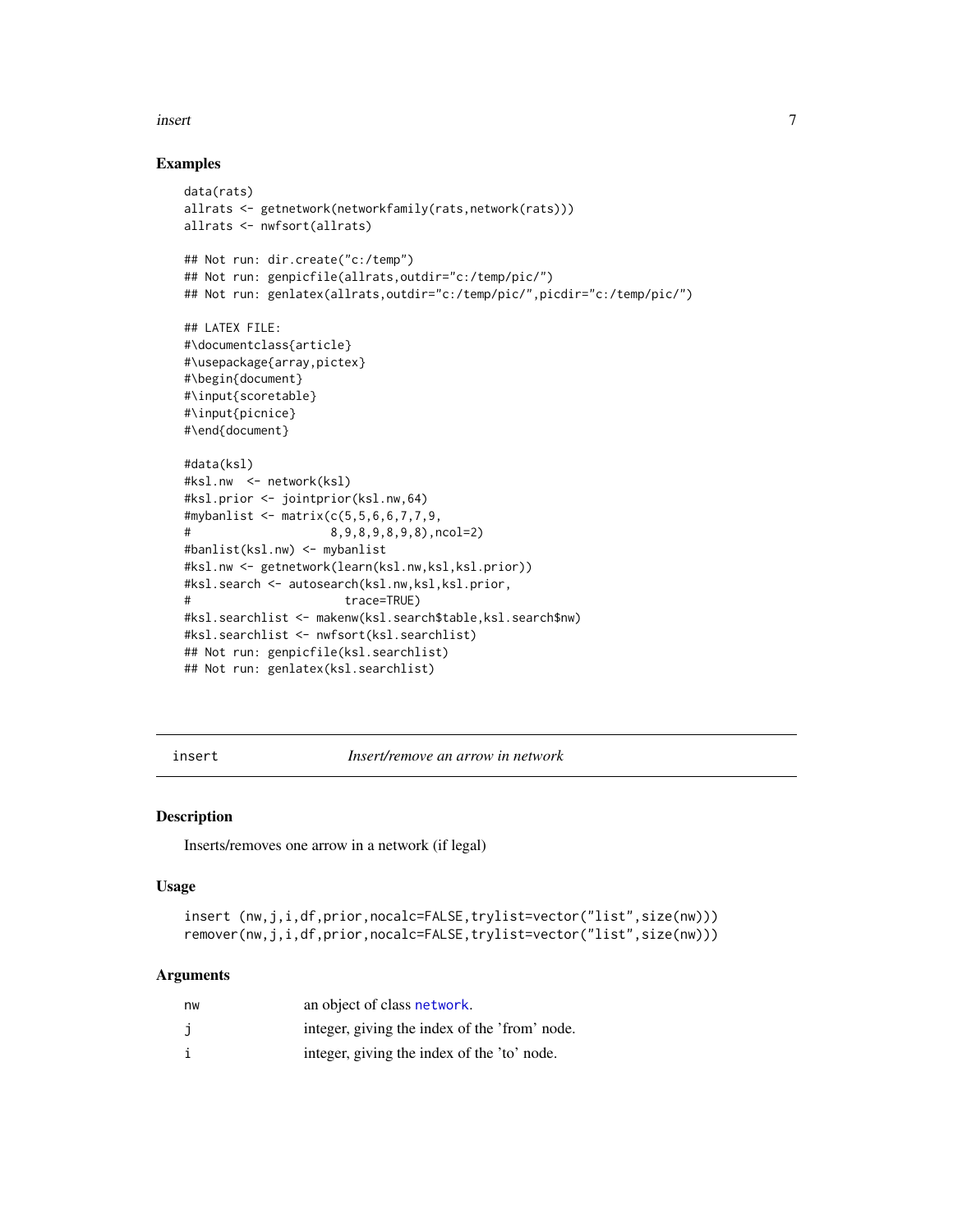#### <span id="page-6-0"></span>insert 7

#### Examples

```
data(rats)
allrats <- getnetwork(networkfamily(rats,network(rats)))
allrats <- nwfsort(allrats)
## Not run: dir.create("c:/temp")
## Not run: genpicfile(allrats,outdir="c:/temp/pic/")
## Not run: genlatex(allrats,outdir="c:/temp/pic/",picdir="c:/temp/pic/")
## LATEX FILE:
#\documentclass{article}
#\usepackage{array,pictex}
#\begin{document}
#\input{scoretable}
#\input{picnice}
#\end{document}
#data(ksl)
#ksl.nw <- network(ksl)
#ksl.prior <- jointprior(ksl.nw,64)
#mybanlist <- matrix(c(5,5,6,6,7,7,9,
# 8,9,8,9,8,9,8),ncol=2)
#banlist(ksl.nw) <- mybanlist
#ksl.nw <- getnetwork(learn(ksl.nw,ksl,ksl.prior))
#ksl.search <- autosearch(ksl.nw,ksl,ksl.prior,
# trace=TRUE)
#ksl.searchlist <- makenw(ksl.search$table,ksl.search$nw)
#ksl.searchlist <- nwfsort(ksl.searchlist)
## Not run: genpicfile(ksl.searchlist)
## Not run: genlatex(ksl.searchlist)
```
<span id="page-6-1"></span>insert *Insert/remove an arrow in network*

#### Description

Inserts/removes one arrow in a network (if legal)

#### Usage

```
insert (nw,j,i,df,prior,nocalc=FALSE,trylist=vector("list",size(nw)))
remover(nw,j,i,df,prior,nocalc=FALSE,trylist=vector("list",size(nw)))
```
# Arguments

| nw | an object of class network.                   |
|----|-----------------------------------------------|
|    | integer, giving the index of the 'from' node. |
|    | integer, giving the index of the 'to' node.   |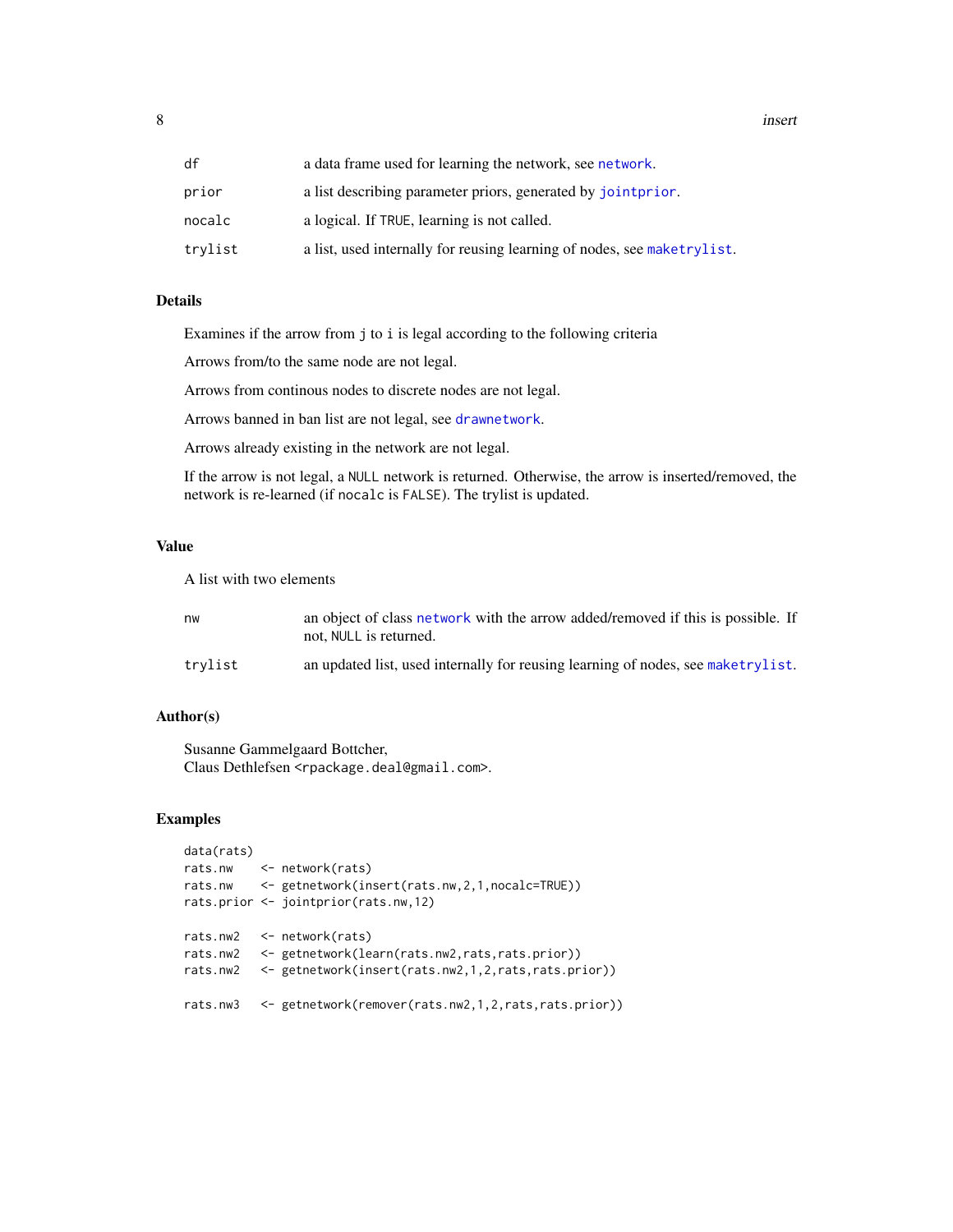<span id="page-7-0"></span>8 insert

| df      | a data frame used for learning the network, see network.                |
|---------|-------------------------------------------------------------------------|
| prior   | a list describing parameter priors, generated by jointprior.            |
| nocalc  | a logical. If TRUE, learning is not called.                             |
| trylist | a list, used internally for reusing learning of nodes, see maketrylist. |

# Details

Examines if the arrow from j to i is legal according to the following criteria

Arrows from/to the same node are not legal.

Arrows from continous nodes to discrete nodes are not legal.

Arrows banned in ban list are not legal, see [drawnetwork](#page-3-1).

Arrows already existing in the network are not legal.

If the arrow is not legal, a NULL network is returned. Otherwise, the arrow is inserted/removed, the network is re-learned (if nocalc is FALSE). The trylist is updated.

#### Value

A list with two elements

| nw      | an object of class network with the arrow added/removed if this is possible. If<br>not. NULL is returned. |
|---------|-----------------------------------------------------------------------------------------------------------|
| trvlist | an updated list, used internally for reusing learning of nodes, see maketrylist.                          |

#### Author(s)

Susanne Gammelgaard Bottcher, Claus Dethlefsen <rpackage.deal@gmail.com>.

# Examples

```
data(rats)
rats.nw <- network(rats)
rats.nw <- getnetwork(insert(rats.nw,2,1,nocalc=TRUE))
rats.prior <- jointprior(rats.nw,12)
rats.nw2 <- network(rats)
rats.nw2 <- getnetwork(learn(rats.nw2,rats,rats.prior))
rats.nw2 <- getnetwork(insert(rats.nw2,1,2,rats,rats.prior))
rats.nw3 <- getnetwork(remover(rats.nw2,1,2,rats,rats.prior))
```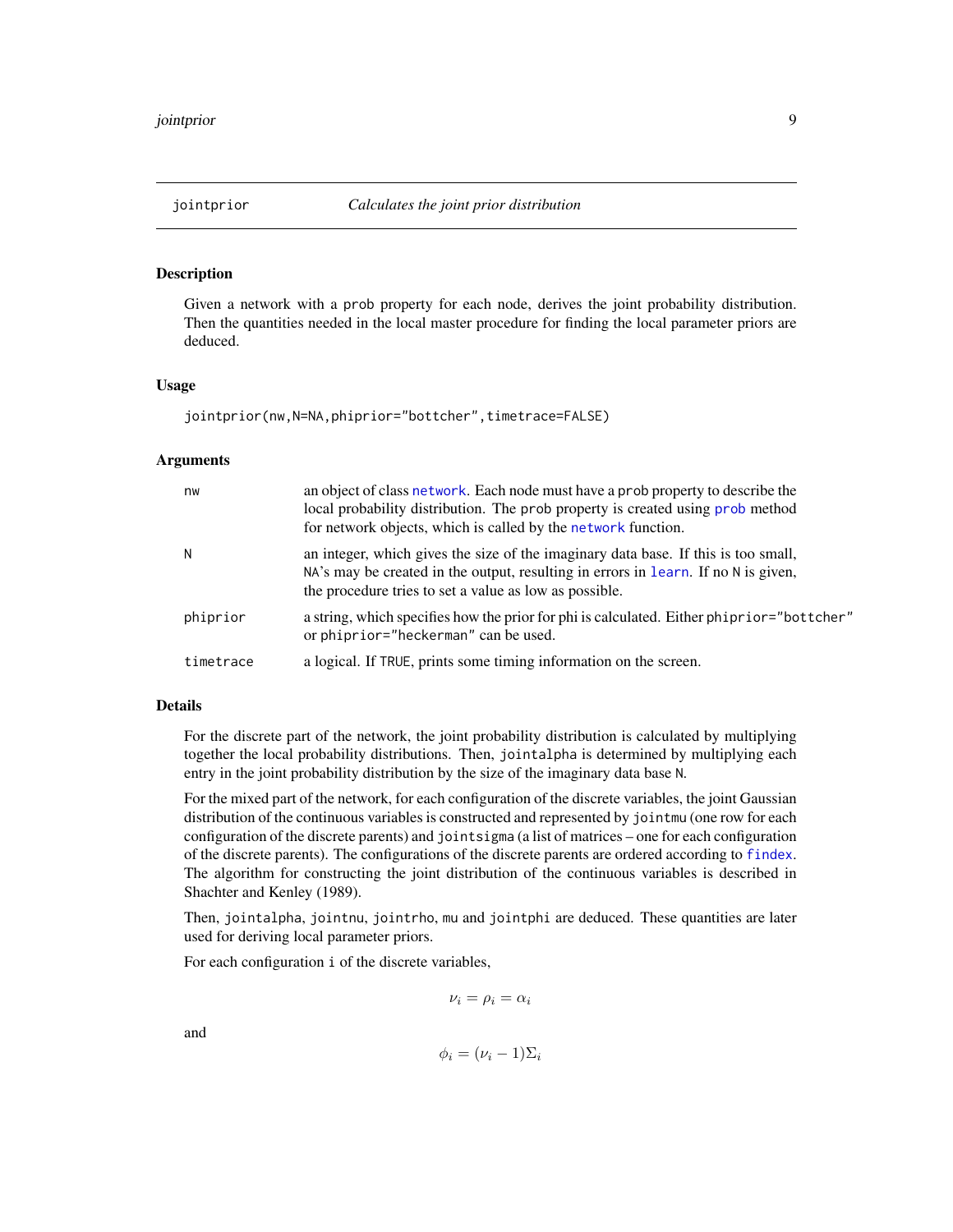<span id="page-8-1"></span><span id="page-8-0"></span>

# Description

Given a network with a prob property for each node, derives the joint probability distribution. Then the quantities needed in the local master procedure for finding the local parameter priors are deduced.

#### Usage

```
jointprior(nw,N=NA,phiprior="bottcher",timetrace=FALSE)
```
# Arguments

| nw        | an object of class network. Each node must have a prob property to describe the<br>local probability distribution. The prob property is created using prob method<br>for network objects, which is called by the network function. |
|-----------|------------------------------------------------------------------------------------------------------------------------------------------------------------------------------------------------------------------------------------|
| N         | an integer, which gives the size of the imaginary data base. If this is too small,<br>NA's may be created in the output, resulting in errors in learn. If no N is given,<br>the procedure tries to set a value as low as possible. |
| phiprior  | a string, which specifies how the prior for phi is calculated. Either phiprior="bottcher"<br>or phiprior="heckerman" can be used.                                                                                                  |
| timetrace | a logical. If TRUE, prints some timing information on the screen.                                                                                                                                                                  |

#### Details

For the discrete part of the network, the joint probability distribution is calculated by multiplying together the local probability distributions. Then, jointalpha is determined by multiplying each entry in the joint probability distribution by the size of the imaginary data base N.

For the mixed part of the network, for each configuration of the discrete variables, the joint Gaussian distribution of the continuous variables is constructed and represented by jointmu (one row for each configuration of the discrete parents) and jointsigma (a list of matrices – one for each configuration of the discrete parents). The configurations of the discrete parents are ordered according to [findex](#page-0-0). The algorithm for constructing the joint distribution of the continuous variables is described in Shachter and Kenley (1989).

Then, jointalpha, jointnu, jointrho, mu and jointphi are deduced. These quantities are later used for deriving local parameter priors.

For each configuration i of the discrete variables,

$$
\nu_i = \rho_i = \alpha_i
$$

and

$$
\phi_i = (\nu_i - 1)\Sigma_i
$$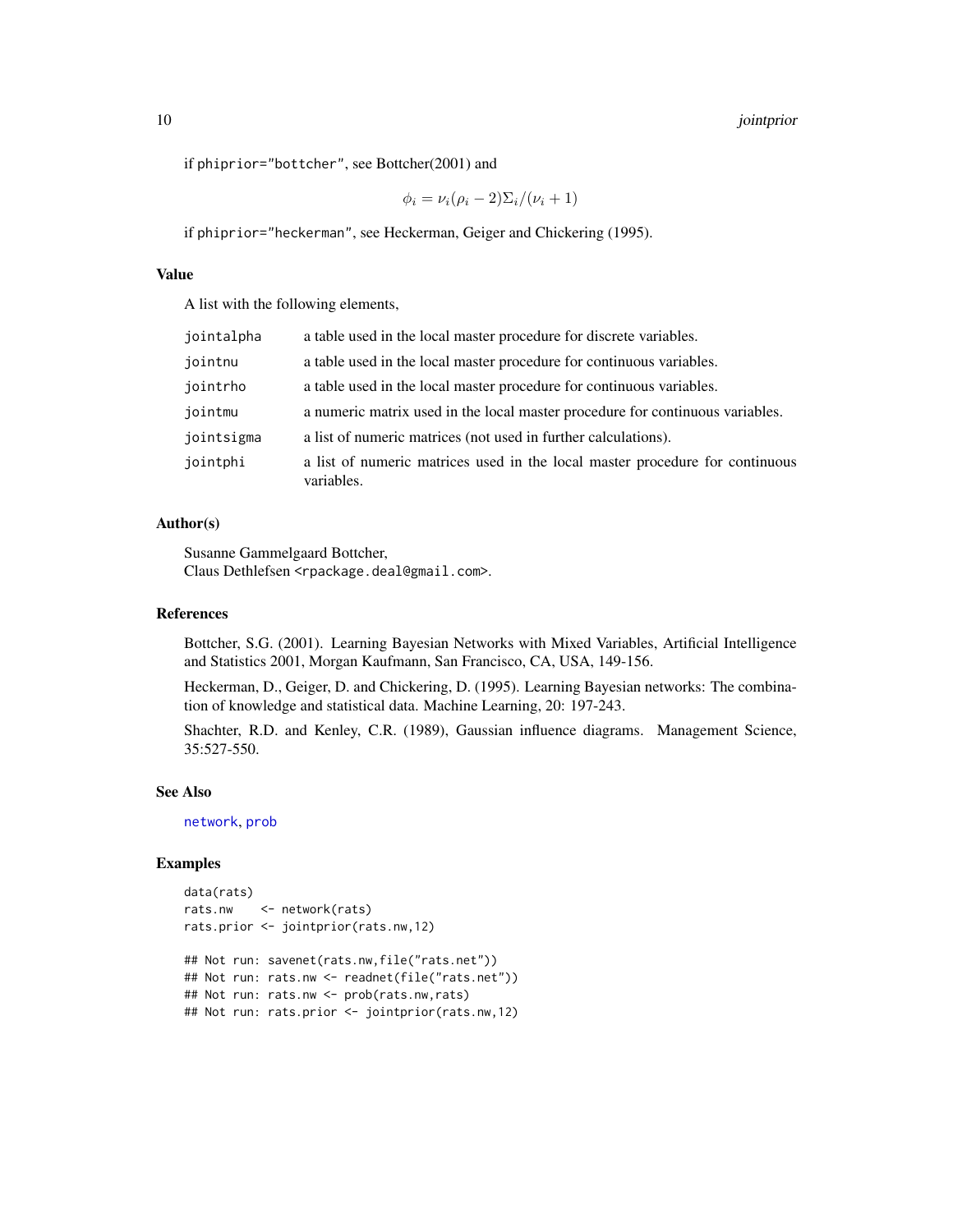<span id="page-9-0"></span>if phiprior="bottcher", see Bottcher(2001) and

$$
\phi_i = \nu_i (\rho_i - 2) \Sigma_i / (\nu_i + 1)
$$

if phiprior="heckerman", see Heckerman, Geiger and Chickering (1995).

#### Value

A list with the following elements,

| jointalpha | a table used in the local master procedure for discrete variables.                         |
|------------|--------------------------------------------------------------------------------------------|
| jointnu    | a table used in the local master procedure for continuous variables.                       |
| jointrho   | a table used in the local master procedure for continuous variables.                       |
| jointmu    | a numeric matrix used in the local master procedure for continuous variables.              |
| jointsigma | a list of numeric matrices (not used in further calculations).                             |
| jointphi   | a list of numeric matrices used in the local master procedure for continuous<br>variables. |

# Author(s)

Susanne Gammelgaard Bottcher, Claus Dethlefsen <rpackage.deal@gmail.com>.

#### References

Bottcher, S.G. (2001). Learning Bayesian Networks with Mixed Variables, Artificial Intelligence and Statistics 2001, Morgan Kaufmann, San Francisco, CA, USA, 149-156.

Heckerman, D., Geiger, D. and Chickering, D. (1995). Learning Bayesian networks: The combination of knowledge and statistical data. Machine Learning, 20: 197-243.

Shachter, R.D. and Kenley, C.R. (1989), Gaussian influence diagrams. Management Science, 35:527-550.

#### See Also

[network](#page-14-1), [prob](#page-24-1)

#### Examples

```
data(rats)
rats.nw <- network(rats)
rats.prior <- jointprior(rats.nw,12)
## Not run: savenet(rats.nw,file("rats.net"))
## Not run: rats.nw <- readnet(file("rats.net"))
## Not run: rats.nw <- prob(rats.nw,rats)
## Not run: rats.prior <- jointprior(rats.nw,12)
```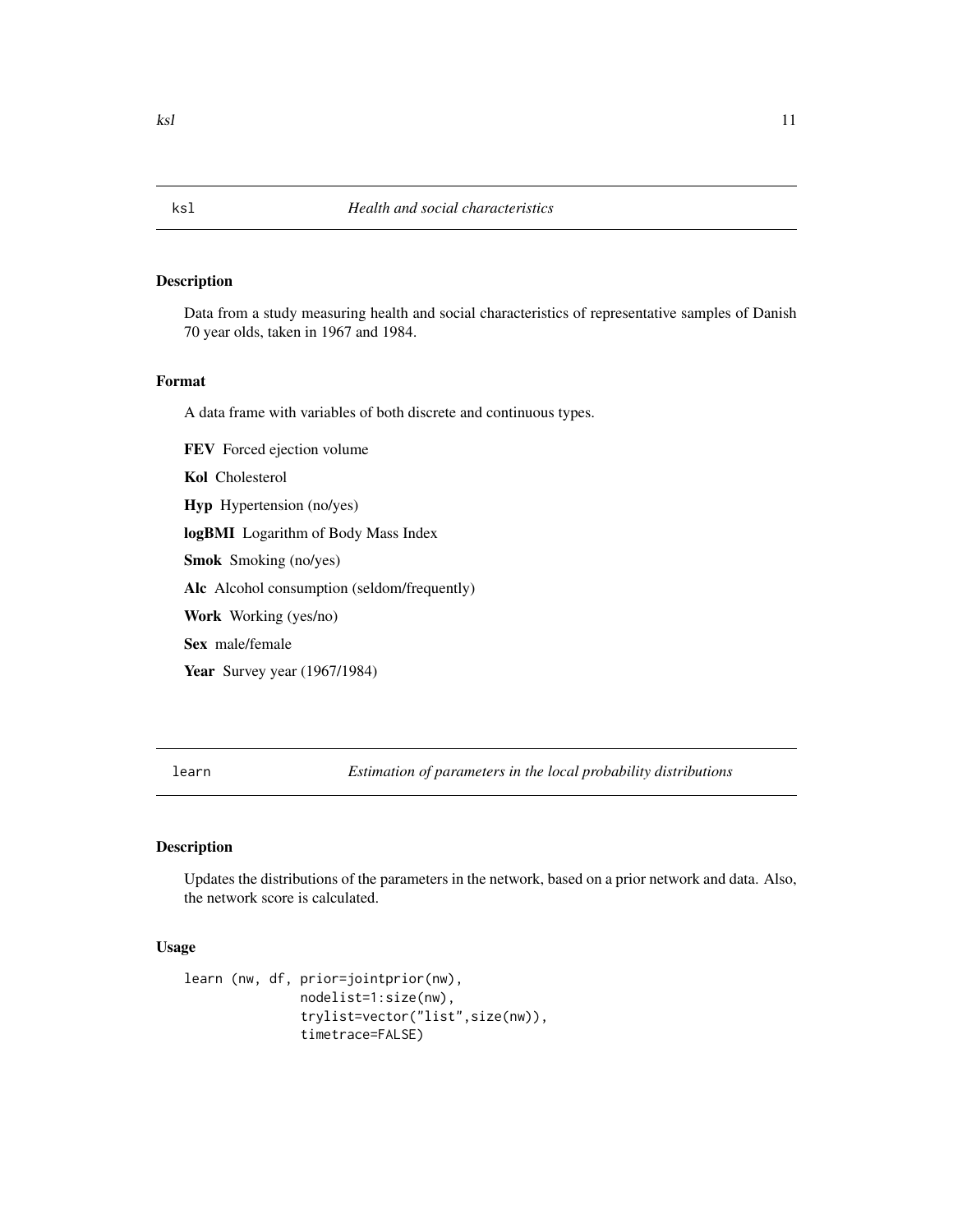# Description

Data from a study measuring health and social characteristics of representative samples of Danish 70 year olds, taken in 1967 and 1984.

#### Format

A data frame with variables of both discrete and continuous types.

FEV Forced ejection volume Kol Cholesterol Hyp Hypertension (no/yes) logBMI Logarithm of Body Mass Index Smok Smoking (no/yes) Alc Alcohol consumption (seldom/frequently) Work Working (yes/no) Sex male/female Year Survey year (1967/1984)

<span id="page-10-1"></span>learn *Estimation of parameters in the local probability distributions*

# Description

Updates the distributions of the parameters in the network, based on a prior network and data. Also, the network score is calculated.

# Usage

```
learn (nw, df, prior=jointprior(nw),
              nodelist=1:size(nw),
               trylist=vector("list",size(nw)),
               timetrace=FALSE)
```
<span id="page-10-0"></span>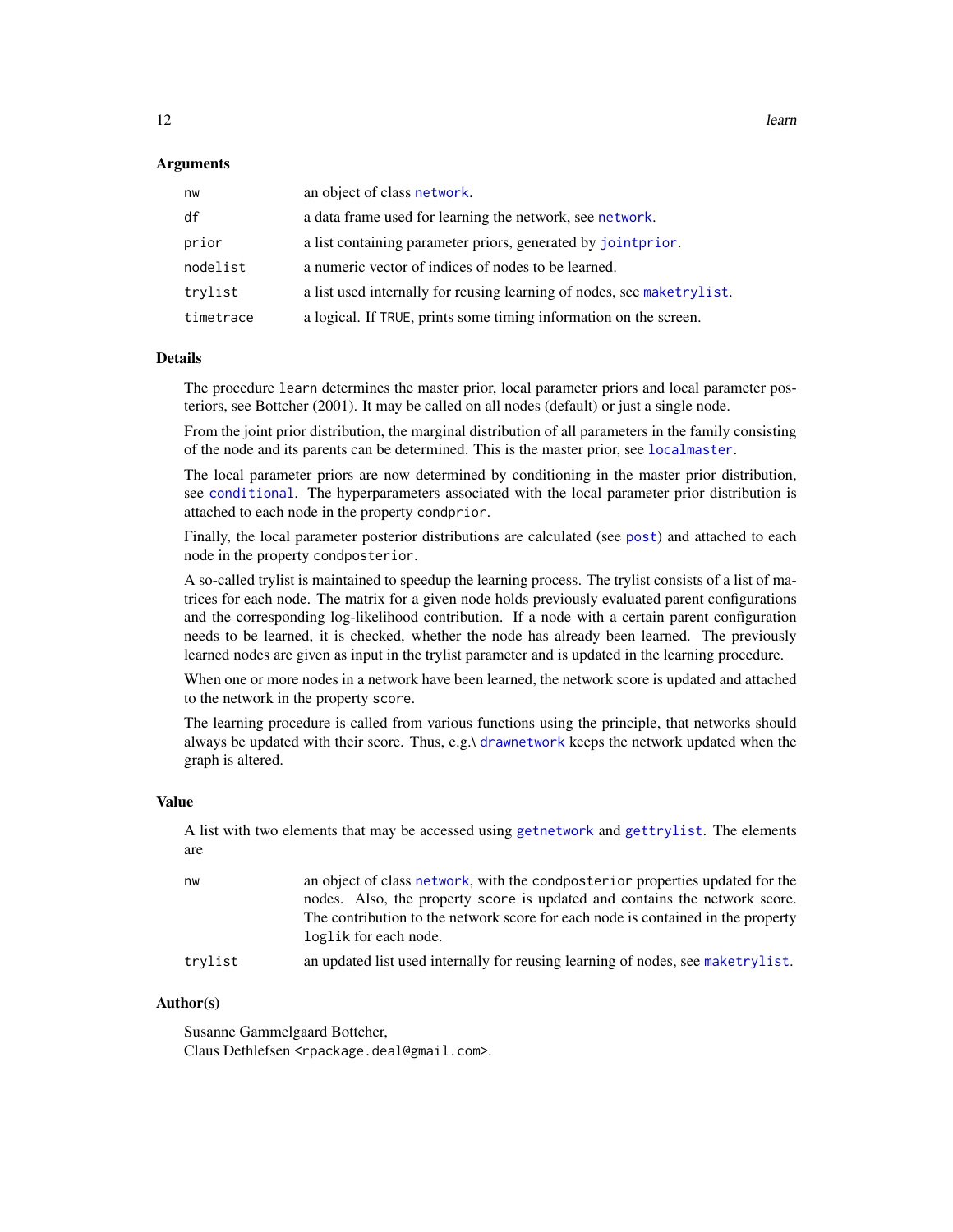#### <span id="page-11-0"></span>Arguments

| nw        | an object of class network.                                            |
|-----------|------------------------------------------------------------------------|
| df        | a data frame used for learning the network, see network.               |
| prior     | a list containing parameter priors, generated by jointprior.           |
| nodelist  | a numeric vector of indices of nodes to be learned.                    |
| trylist   | a list used internally for reusing learning of nodes, see maketrylist. |
| timetrace | a logical. If TRUE, prints some timing information on the screen.      |

# Details

The procedure learn determines the master prior, local parameter priors and local parameter posteriors, see Bottcher (2001). It may be called on all nodes (default) or just a single node.

From the joint prior distribution, the marginal distribution of all parameters in the family consisting of the node and its parents can be determined. This is the master prior, see [localmaster](#page-0-0).

The local parameter priors are now determined by conditioning in the master prior distribution, see [conditional](#page-0-0). The hyperparameters associated with the local parameter prior distribution is attached to each node in the property condprior.

Finally, the local parameter posterior distributions are calculated (see [post](#page-0-0)) and attached to each node in the property condposterior.

A so-called trylist is maintained to speedup the learning process. The trylist consists of a list of matrices for each node. The matrix for a given node holds previously evaluated parent configurations and the corresponding log-likelihood contribution. If a node with a certain parent configuration needs to be learned, it is checked, whether the node has already been learned. The previously learned nodes are given as input in the trylist parameter and is updated in the learning procedure.

When one or more nodes in a network have been learned, the network score is updated and attached to the network in the property score.

The learning procedure is called from various functions using the principle, that networks should always be updated with their score. Thus, e.g.\ [drawnetwork](#page-3-1) keeps the network updated when the graph is altered.

#### Value

A list with two elements that may be accessed using [getnetwork](#page-17-1) and [gettrylist](#page-17-1). The elements are

| nw      | an object of class network, with the condposterior properties updated for the<br>nodes. Also, the property score is updated and contains the network score.<br>The contribution to the network score for each node is contained in the property<br>loglik for each node. |
|---------|--------------------------------------------------------------------------------------------------------------------------------------------------------------------------------------------------------------------------------------------------------------------------|
| trylist | an updated list used internally for reusing learning of nodes, see maketrylist.                                                                                                                                                                                          |

#### Author(s)

Susanne Gammelgaard Bottcher, Claus Dethlefsen <rpackage.deal@gmail.com>.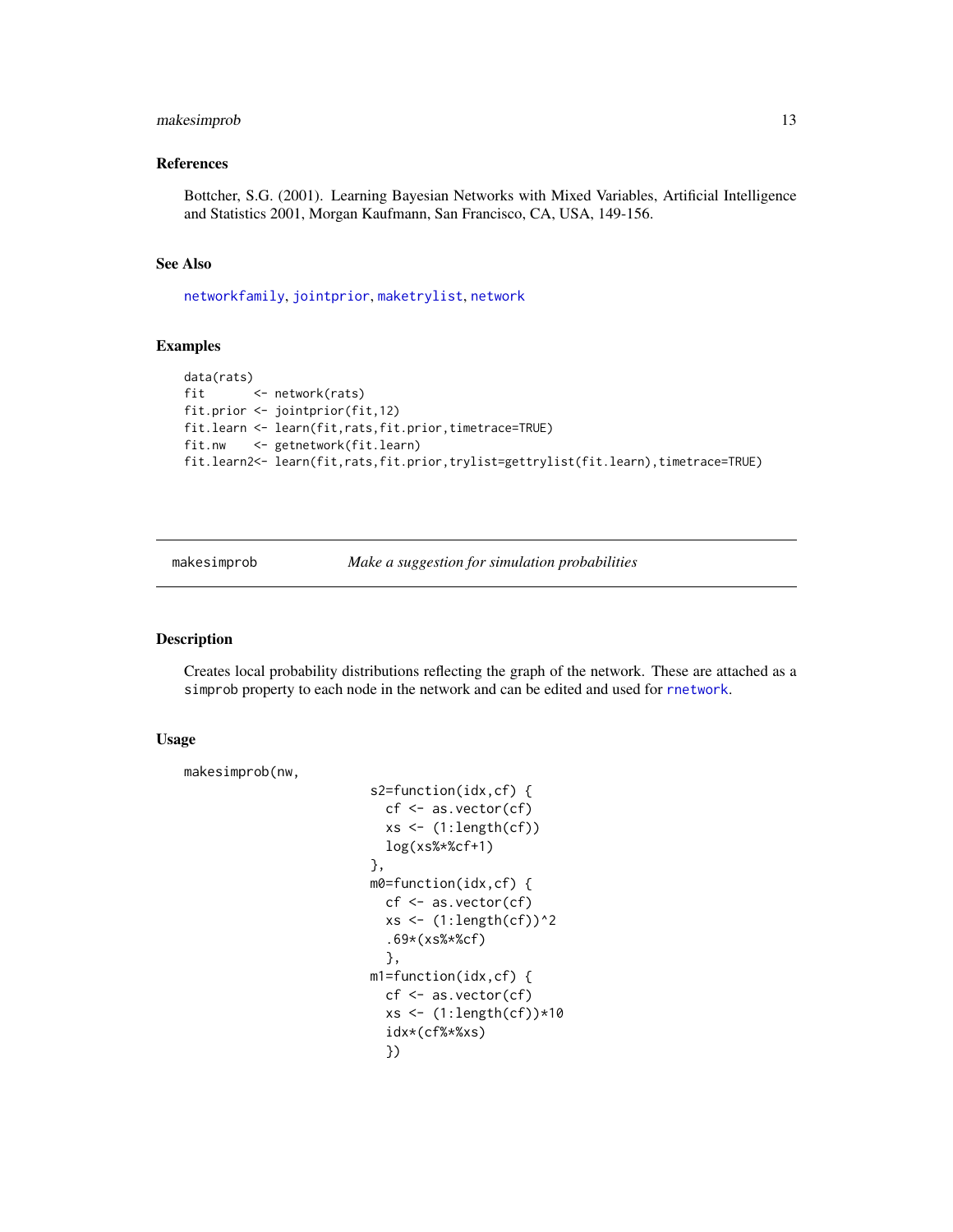# <span id="page-12-0"></span>makesimprob 13

# References

Bottcher, S.G. (2001). Learning Bayesian Networks with Mixed Variables, Artificial Intelligence and Statistics 2001, Morgan Kaufmann, San Francisco, CA, USA, 149-156.

# See Also

[networkfamily](#page-18-1), [jointprior](#page-8-1), [maketrylist](#page-13-1), [network](#page-14-1)

#### Examples

```
data(rats)
fit <- network(rats)
fit.prior <- jointprior(fit,12)
fit.learn <- learn(fit,rats,fit.prior,timetrace=TRUE)
fit.nw <- getnetwork(fit.learn)
fit.learn2<- learn(fit,rats,fit.prior,trylist=gettrylist(fit.learn),timetrace=TRUE)
```
<span id="page-12-1"></span>makesimprob *Make a suggestion for simulation probabilities*

#### Description

Creates local probability distributions reflecting the graph of the network. These are attached as a simprob property to each node in the network and can be edited and used for [rnetwork](#page-27-1).

#### Usage

```
makesimprob(nw,
```

```
s2=function(idx,cf) {
  cf <- as.vector(cf)
  xs \leftarrow (1:\text{length}(cf))log(xs%*%cf+1)
},
m0=function(idx,cf) {
  cf <- as.vector(cf)
  xs \leftarrow (1:\text{length}(cf))^2.69*(xs%*%cf)
  },
m1=function(idx,cf) {
  cf \leq as.vector(cf)xs <- (1:length(cf))*10
  idx*(cf%*%xs)
  })
```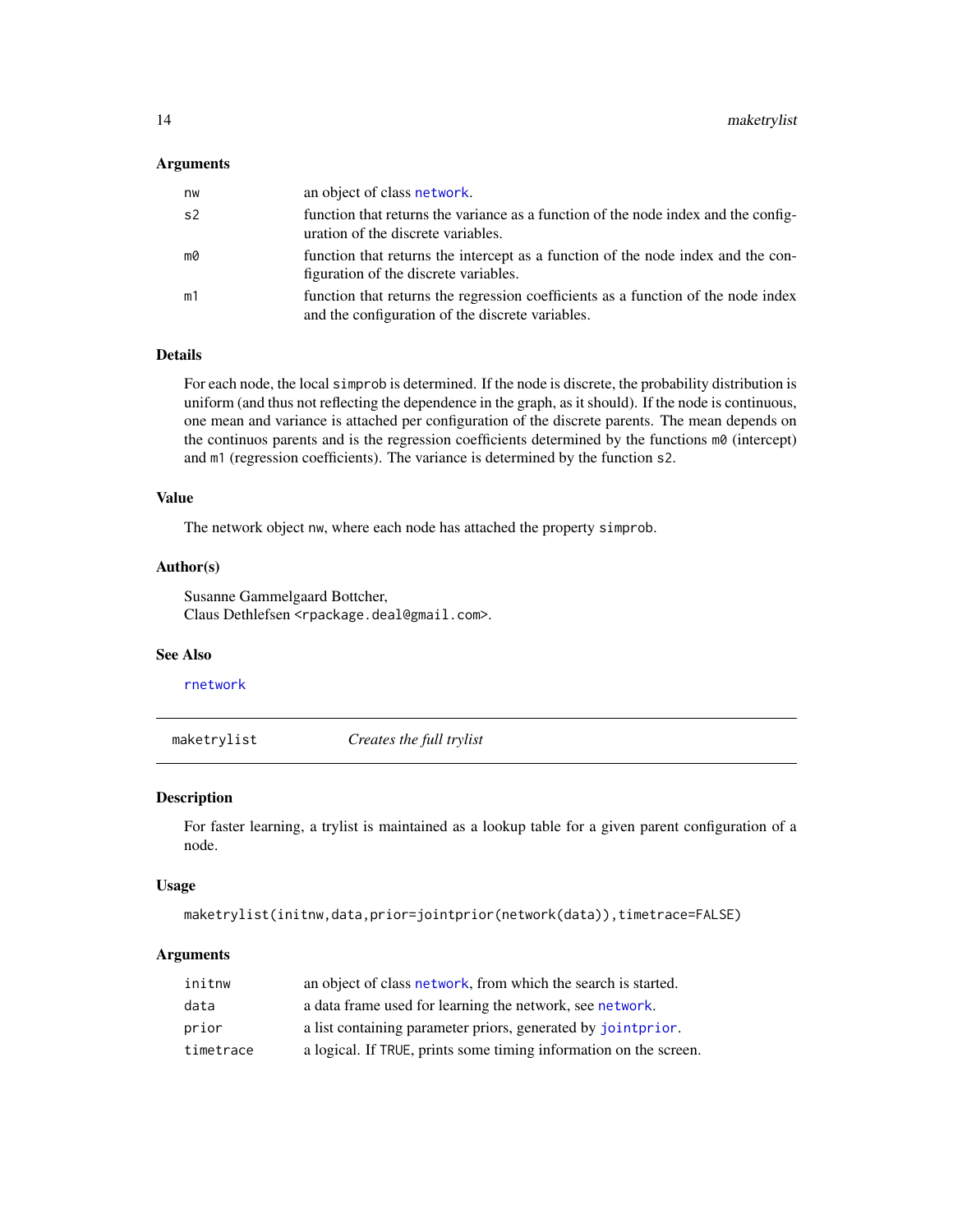#### <span id="page-13-0"></span>Arguments

| nw             | an object of class network.                                                                                                           |
|----------------|---------------------------------------------------------------------------------------------------------------------------------------|
| s <sub>2</sub> | function that returns the variance as a function of the node index and the config-<br>uration of the discrete variables.              |
| mØ             | function that returns the intercept as a function of the node index and the con-<br>figuration of the discrete variables.             |
| m1             | function that returns the regression coefficients as a function of the node index<br>and the configuration of the discrete variables. |

# Details

For each node, the local simprob is determined. If the node is discrete, the probability distribution is uniform (and thus not reflecting the dependence in the graph, as it should). If the node is continuous, one mean and variance is attached per configuration of the discrete parents. The mean depends on the continuos parents and is the regression coefficients determined by the functions  $m\theta$  (intercept) and m1 (regression coefficients). The variance is determined by the function s2.

#### Value

The network object nw, where each node has attached the property simprob.

# Author(s)

Susanne Gammelgaard Bottcher, Claus Dethlefsen <rpackage.deal@gmail.com>.

# See Also

[rnetwork](#page-27-1)

<span id="page-13-1"></span>maketrylist *Creates the full trylist*

# Description

For faster learning, a trylist is maintained as a lookup table for a given parent configuration of a node.

#### Usage

```
maketrylist(initnw,data,prior=jointprior(network(data)),timetrace=FALSE)
```
#### Arguments

| initnw    | an object of class network, from which the search is started.     |
|-----------|-------------------------------------------------------------------|
| data      | a data frame used for learning the network, see network.          |
| prior     | a list containing parameter priors, generated by joint prior.     |
| timetrace | a logical. If TRUE, prints some timing information on the screen. |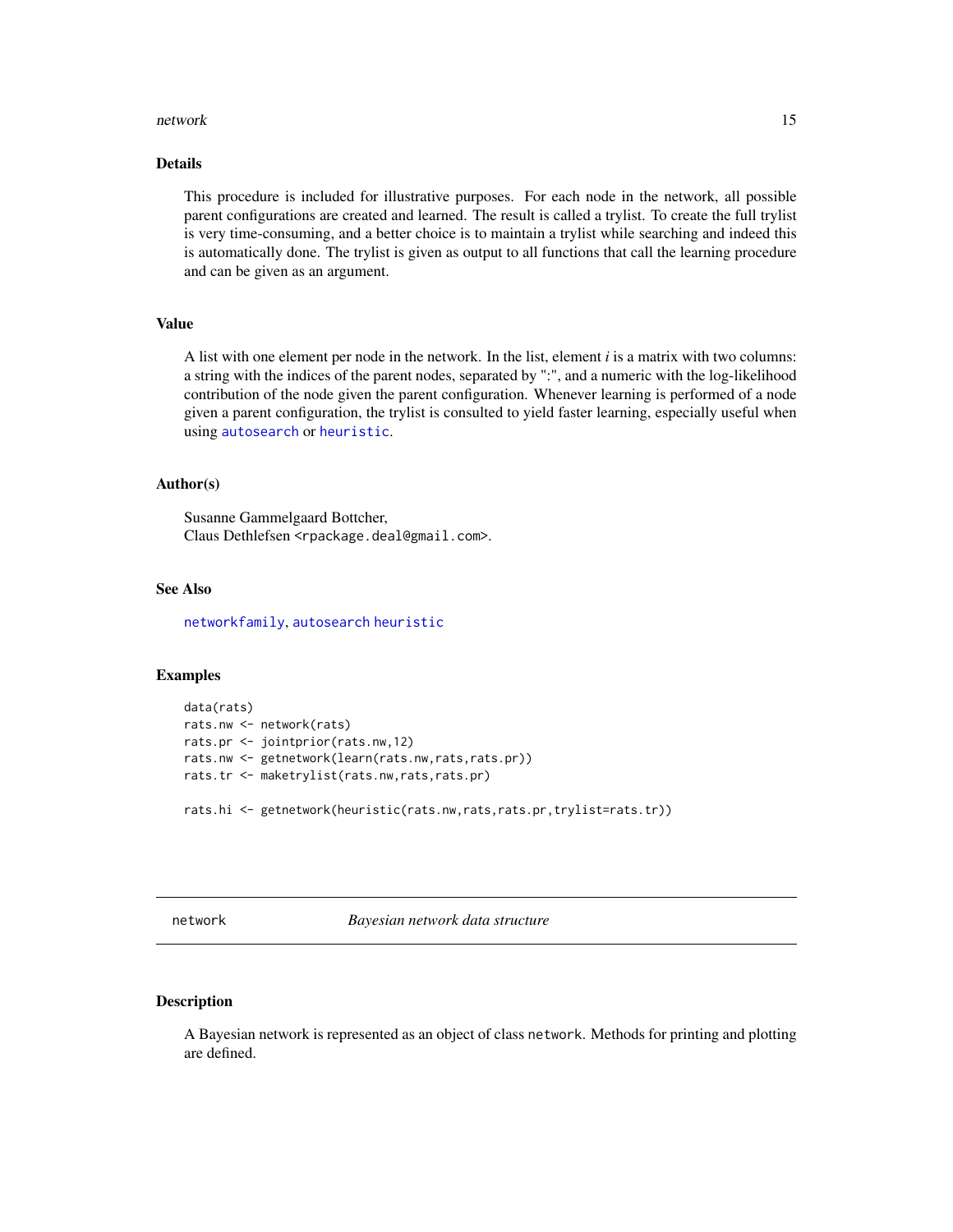#### <span id="page-14-0"></span>network and the set of the set of the set of the set of the set of the set of the set of the set of the set of the set of the set of the set of the set of the set of the set of the set of the set of the set of the set of t

# Details

This procedure is included for illustrative purposes. For each node in the network, all possible parent configurations are created and learned. The result is called a trylist. To create the full trylist is very time-consuming, and a better choice is to maintain a trylist while searching and indeed this is automatically done. The trylist is given as output to all functions that call the learning procedure and can be given as an argument.

#### Value

A list with one element per node in the network. In the list, element *i* is a matrix with two columns: a string with the indices of the parent nodes, separated by ":", and a numeric with the log-likelihood contribution of the node given the parent configuration. Whenever learning is performed of a node given a parent configuration, the trylist is consulted to yield faster learning, especially useful when using [autosearch](#page-1-2) or [heuristic](#page-1-1).

#### Author(s)

Susanne Gammelgaard Bottcher, Claus Dethlefsen <rpackage.deal@gmail.com>.

# See Also

[networkfamily](#page-18-1), [autosearch](#page-1-2) [heuristic](#page-1-1)

### Examples

```
data(rats)
rats.nw <- network(rats)
rats.pr <- jointprior(rats.nw,12)
rats.nw <- getnetwork(learn(rats.nw,rats,rats.pr))
rats.tr <- maketrylist(rats.nw,rats,rats.pr)
rats.hi <- getnetwork(heuristic(rats.nw,rats,rats.pr,trylist=rats.tr))
```
<span id="page-14-1"></span>network *Bayesian network data structure*

#### Description

A Bayesian network is represented as an object of class network. Methods for printing and plotting are defined.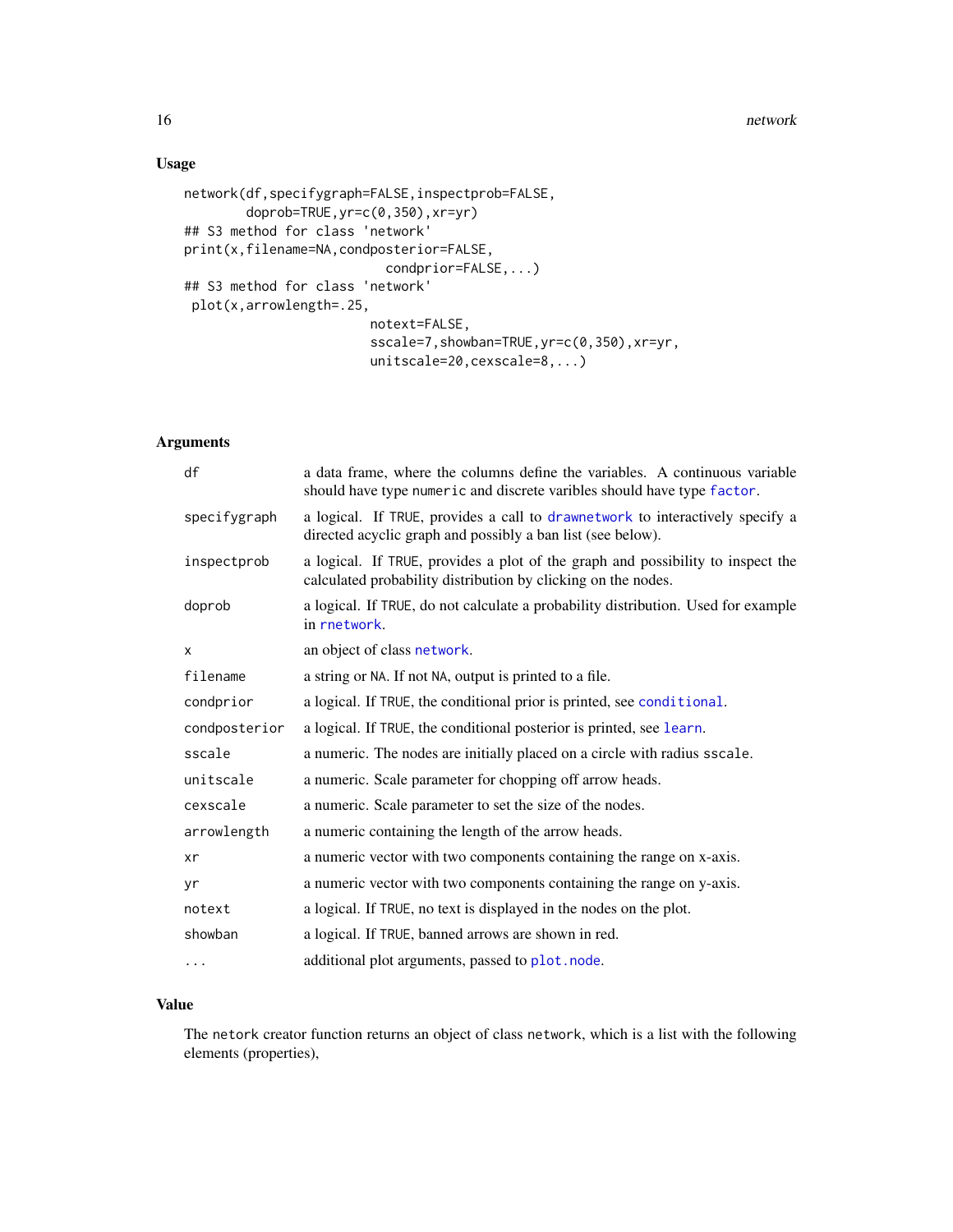# <span id="page-15-0"></span>Usage

```
network(df,specifygraph=FALSE,inspectprob=FALSE,
        doprob=TRUE,yr=c(0,350),xr=yr)
## S3 method for class 'network'
print(x,filename=NA,condposterior=FALSE,
                          condprior=FALSE,...)
## S3 method for class 'network'
plot(x,arrowlength=.25,
                        notext=FALSE,
                        sscale=7,showban=TRUE,yr=c(0,350),xr=yr,
                        unitscale=20,cexscale=8,...)
```
# Arguments

| df            | a data frame, where the columns define the variables. A continuous variable<br>should have type numeric and discrete varibles should have type factor. |
|---------------|--------------------------------------------------------------------------------------------------------------------------------------------------------|
| specifygraph  | a logical. If TRUE, provides a call to drawnetwork to interactively specify a<br>directed acyclic graph and possibly a ban list (see below).           |
| inspectprob   | a logical. If TRUE, provides a plot of the graph and possibility to inspect the<br>calculated probability distribution by clicking on the nodes.       |
| doprob        | a logical. If TRUE, do not calculate a probability distribution. Used for example<br>in rnetwork.                                                      |
| X             | an object of class network.                                                                                                                            |
| filename      | a string or NA. If not NA, output is printed to a file.                                                                                                |
| condprior     | a logical. If TRUE, the conditional prior is printed, see conditional.                                                                                 |
| condposterior | a logical. If TRUE, the conditional posterior is printed, see learn.                                                                                   |
| sscale        | a numeric. The nodes are initially placed on a circle with radius sscale.                                                                              |
| unitscale     | a numeric. Scale parameter for chopping off arrow heads.                                                                                               |
| cexscale      | a numeric. Scale parameter to set the size of the nodes.                                                                                               |
| arrowlength   | a numeric containing the length of the arrow heads.                                                                                                    |
| xr            | a numeric vector with two components containing the range on x-axis.                                                                                   |
| yr            | a numeric vector with two components containing the range on y-axis.                                                                                   |
| notext        | a logical. If TRUE, no text is displayed in the nodes on the plot.                                                                                     |
| showban       | a logical. If TRUE, banned arrows are shown in red.                                                                                                    |
| $\cdots$      | additional plot arguments, passed to plot. node.                                                                                                       |

# Value

The netork creator function returns an object of class network, which is a list with the following elements (properties),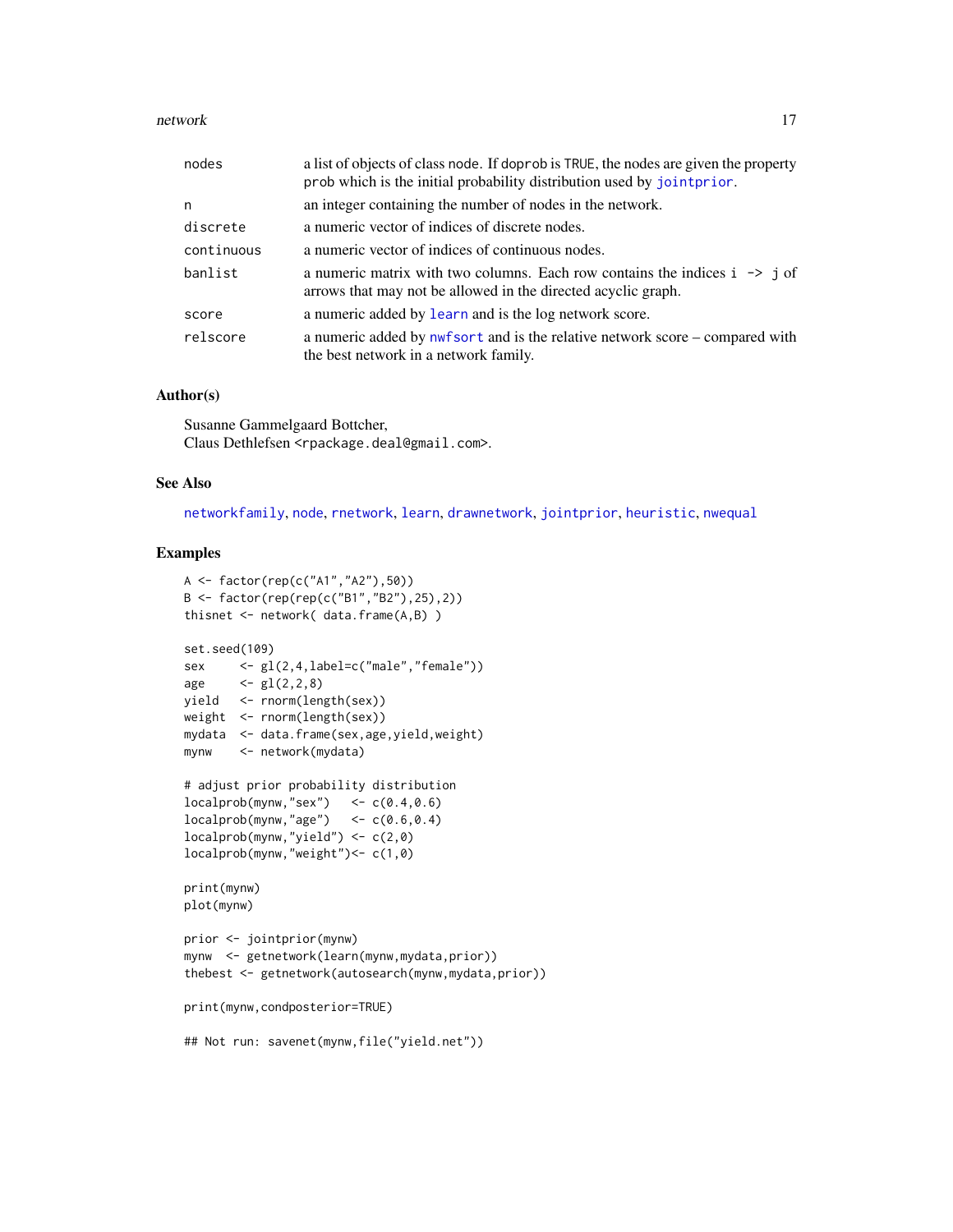#### <span id="page-16-0"></span>network and the set of the set of the set of the set of the set of the set of the set of the set of the set of the set of the set of the set of the set of the set of the set of the set of the set of the set of the set of t

| nodes      | a list of objects of class node. If doprob is TRUE, the nodes are given the property<br>prob which is the initial probability distribution used by joint prior. |
|------------|-----------------------------------------------------------------------------------------------------------------------------------------------------------------|
| n          | an integer containing the number of nodes in the network.                                                                                                       |
| discrete   | a numeric vector of indices of discrete nodes.                                                                                                                  |
| continuous | a numeric vector of indices of continuous nodes.                                                                                                                |
| banlist    | a numeric matrix with two columns. Each row contains the indices $i \rightarrow j$ of<br>arrows that may not be allowed in the directed acyclic graph.          |
| score      | a numeric added by learn and is the log network score.                                                                                                          |
| relscore   | a numeric added by nwf sort and is the relative network score – compared with<br>the best network in a network family.                                          |

# Author(s)

Susanne Gammelgaard Bottcher, Claus Dethlefsen <rpackage.deal@gmail.com>.

#### See Also

[networkfamily](#page-18-1), [node](#page-19-2), [rnetwork](#page-27-1), [learn](#page-10-1), [drawnetwork](#page-3-1), [jointprior](#page-8-1), [heuristic](#page-1-1), [nwequal](#page-0-0)

#### Examples

```
A <- factor(rep(c("A1","A2"),50))
B <- factor(rep(rep(c("B1","B2"),25),2))
thisnet <- network( data.frame(A,B) )
set.seed(109)
sex <- gl(2,4,label=c("male","female"))
age \leftarrow gl(2,2,8)
yield <- rnorm(length(sex))
weight <- rnorm(length(sex))
mydata <- data.frame(sex,age,yield,weight)
mynw <- network(mydata)
# adjust prior probability distribution
localprob(mynw, "sex") <- c(0.4, 0.6)localprob(mynw, "age") < -c(0.6, 0.4)localprob(mynw,"yield") <- c(2,0)
localprob(mynw,"weight")<- c(1,0)
print(mynw)
plot(mynw)
prior <- jointprior(mynw)
mynw <- getnetwork(learn(mynw,mydata,prior))
thebest <- getnetwork(autosearch(mynw,mydata,prior))
print(mynw,condposterior=TRUE)
## Not run: savenet(mynw,file("yield.net"))
```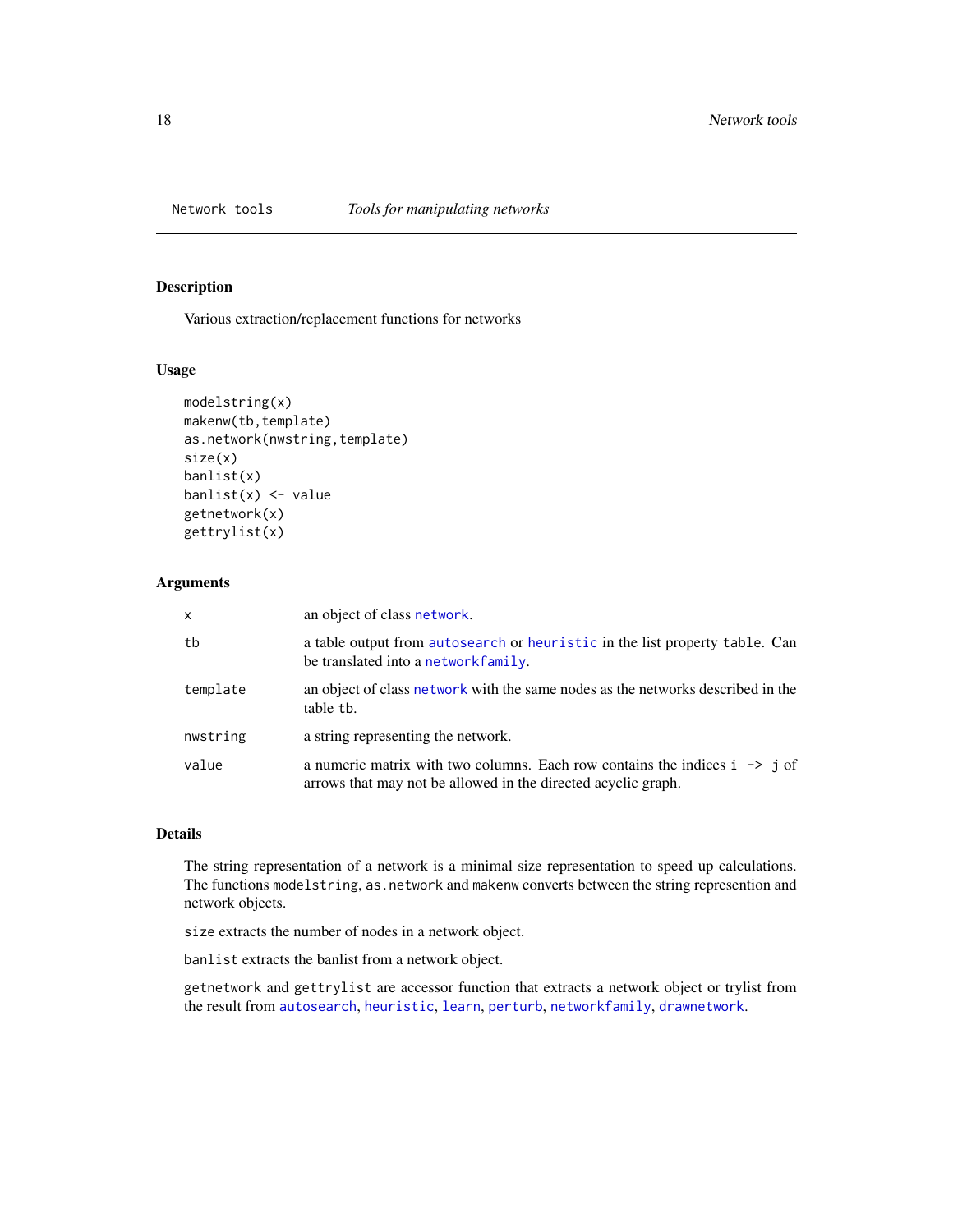<span id="page-17-0"></span>

# <span id="page-17-1"></span>Description

Various extraction/replacement functions for networks

# Usage

```
modelstring(x)
makenw(tb,template)
as.network(nwstring,template)
size(x)
banlist(x)
banlist(x) <- value
getnetwork(x)
gettrylist(x)
```
#### Arguments

| x        | an object of class network.                                                                                                                            |
|----------|--------------------------------------------------------------------------------------------------------------------------------------------------------|
| tb       | a table output from autosearch or heuristic in the list property table. Can<br>be translated into a networkfamily.                                     |
| template | an object of class network with the same nodes as the networks described in the<br>table th.                                                           |
| nwstring | a string representing the network.                                                                                                                     |
| value    | a numeric matrix with two columns. Each row contains the indices $i \rightarrow j$ of<br>arrows that may not be allowed in the directed acyclic graph. |

# Details

The string representation of a network is a minimal size representation to speed up calculations. The functions modelstring, as.network and makenw converts between the string represention and network objects.

size extracts the number of nodes in a network object.

banlist extracts the banlist from a network object.

getnetwork and gettrylist are accessor function that extracts a network object or trylist from the result from [autosearch](#page-1-2), [heuristic](#page-1-1), [learn](#page-10-1), [perturb](#page-23-1), [networkfamily](#page-18-1), [drawnetwork](#page-3-1).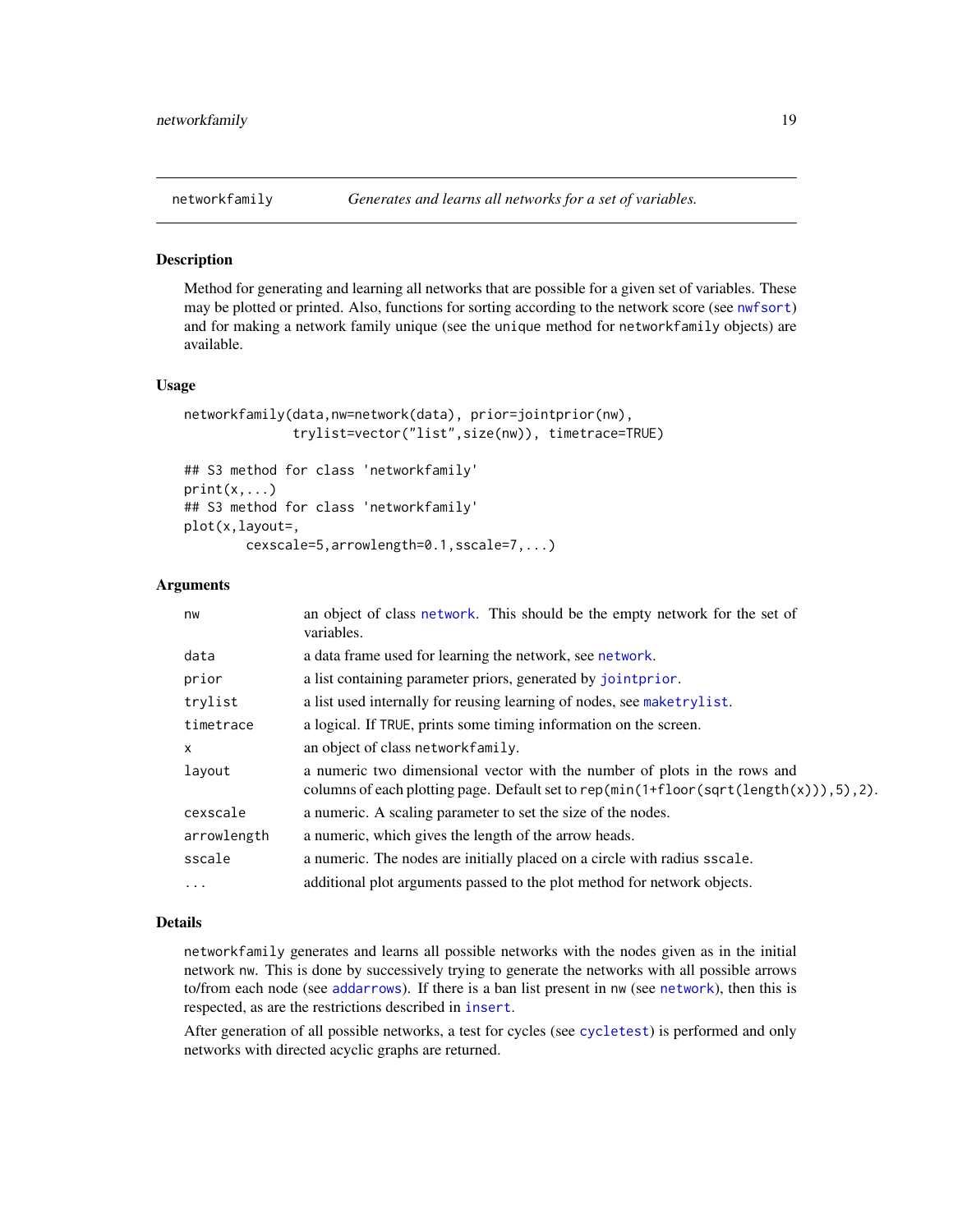<span id="page-18-1"></span><span id="page-18-0"></span>

#### Description

Method for generating and learning all networks that are possible for a given set of variables. These may be plotted or printed. Also, functions for sorting according to the network score (see [nwfsort](#page-22-1)) and for making a network family unique (see the unique method for networkfamily objects) are available.

#### Usage

```
networkfamily(data,nw=network(data), prior=jointprior(nw),
              trylist=vector("list",size(nw)), timetrace=TRUE)
```

```
## S3 method for class 'networkfamily'
print(x, \ldots)## S3 method for class 'networkfamily'
plot(x,layout=,
        cexscale=5,arrowlength=0.1,sscale=7,...)
```
#### Arguments

| nw           | an object of class network. This should be the empty network for the set of<br>variables.                                                                                |
|--------------|--------------------------------------------------------------------------------------------------------------------------------------------------------------------------|
| data         | a data frame used for learning the network, see network.                                                                                                                 |
| prior        | a list containing parameter priors, generated by joint prior.                                                                                                            |
| trylist      | a list used internally for reusing learning of nodes, see maketrylist.                                                                                                   |
| timetrace    | a logical. If TRUE, prints some timing information on the screen.                                                                                                        |
| $\mathsf{x}$ | an object of class networkfamily.                                                                                                                                        |
| layout       | a numeric two dimensional vector with the number of plots in the rows and<br>columns of each plotting page. Default set to rep( $min(1+floor(sqrt(length(x))), 5), 2)$ . |
| cexscale     | a numeric. A scaling parameter to set the size of the nodes.                                                                                                             |
| arrowlength  | a numeric, which gives the length of the arrow heads.                                                                                                                    |
| sscale       | a numeric. The nodes are initially placed on a circle with radius sscale.                                                                                                |
| .            | additional plot arguments passed to the plot method for network objects.                                                                                                 |

# Details

networkfamily generates and learns all possible networks with the nodes given as in the initial network nw. This is done by successively trying to generate the networks with all possible arrows to/from each node (see [addarrows](#page-0-0)). If there is a ban list present in nw (see [network](#page-14-1)), then this is respected, as are the restrictions described in [insert](#page-6-1).

After generation of all possible networks, a test for cycles (see [cycletest](#page-0-0)) is performed and only networks with directed acyclic graphs are returned.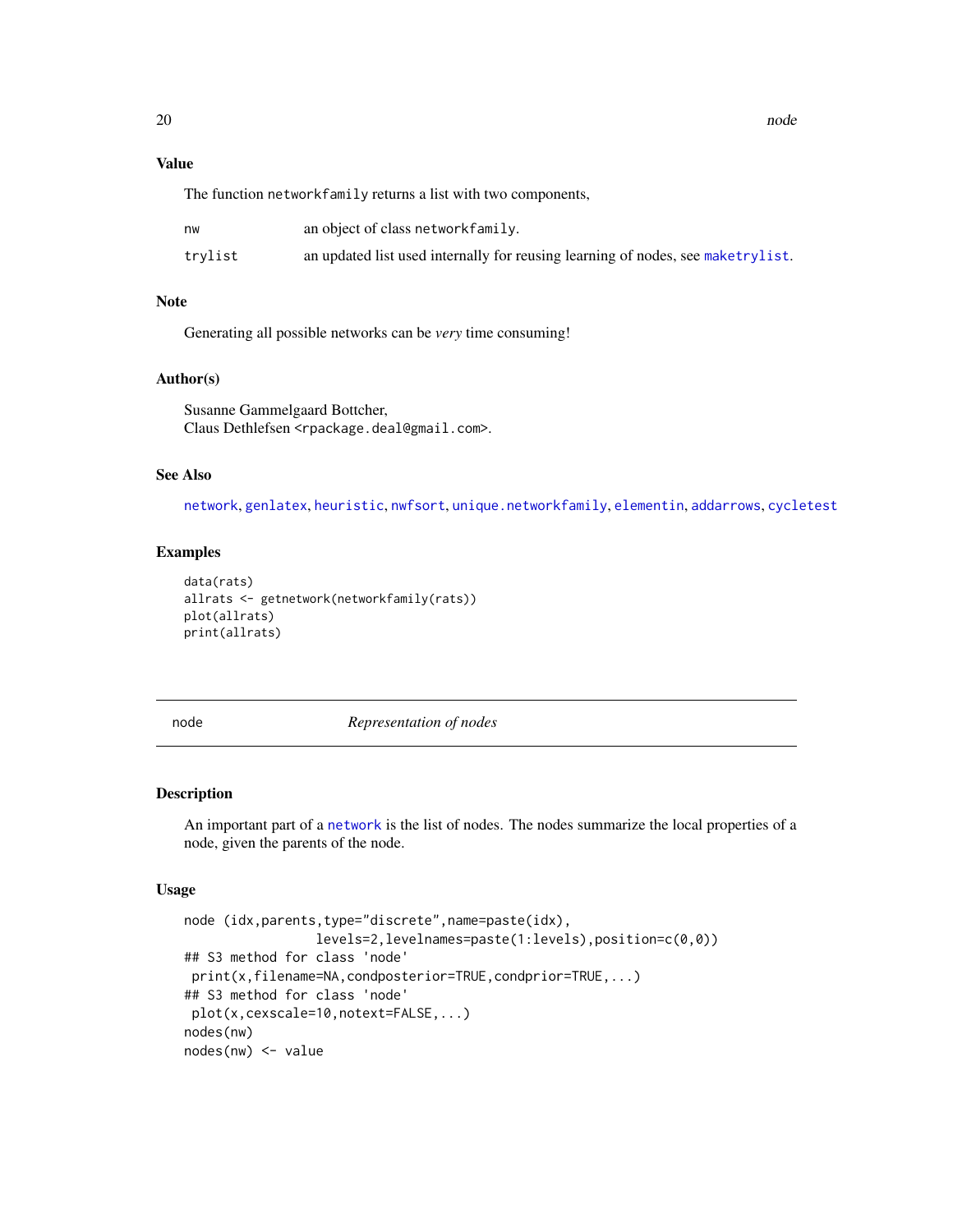# Value

The function networkfamily returns a list with two components,

| nw      | an object of class networkfamily.                                               |
|---------|---------------------------------------------------------------------------------|
| trylist | an updated list used internally for reusing learning of nodes, see maketrylist. |

# Note

Generating all possible networks can be *very* time consuming!

# Author(s)

Susanne Gammelgaard Bottcher, Claus Dethlefsen <rpackage.deal@gmail.com>.

# See Also

[network](#page-14-1), [genlatex](#page-4-1), [heuristic](#page-1-1), [nwfsort](#page-22-1), [unique.networkfamily](#page-29-1), [elementin](#page-0-0), [addarrows](#page-0-0), [cycletest](#page-0-0)

# Examples

```
data(rats)
allrats <- getnetwork(networkfamily(rats))
plot(allrats)
print(allrats)
```
<span id="page-19-2"></span>

node *Representation of nodes*

# <span id="page-19-1"></span>Description

An important part of a [network](#page-14-1) is the list of nodes. The nodes summarize the local properties of a node, given the parents of the node.

#### Usage

```
node (idx,parents,type="discrete",name=paste(idx),
                levels=2,levelnames=paste(1:levels),position=c(0,0))
## S3 method for class 'node'
print(x,filename=NA,condposterior=TRUE,condprior=TRUE,...)
## S3 method for class 'node'
plot(x,cexscale=10,notext=FALSE,...)
nodes(nw)
nodes(nw) <- value
```
<span id="page-19-0"></span>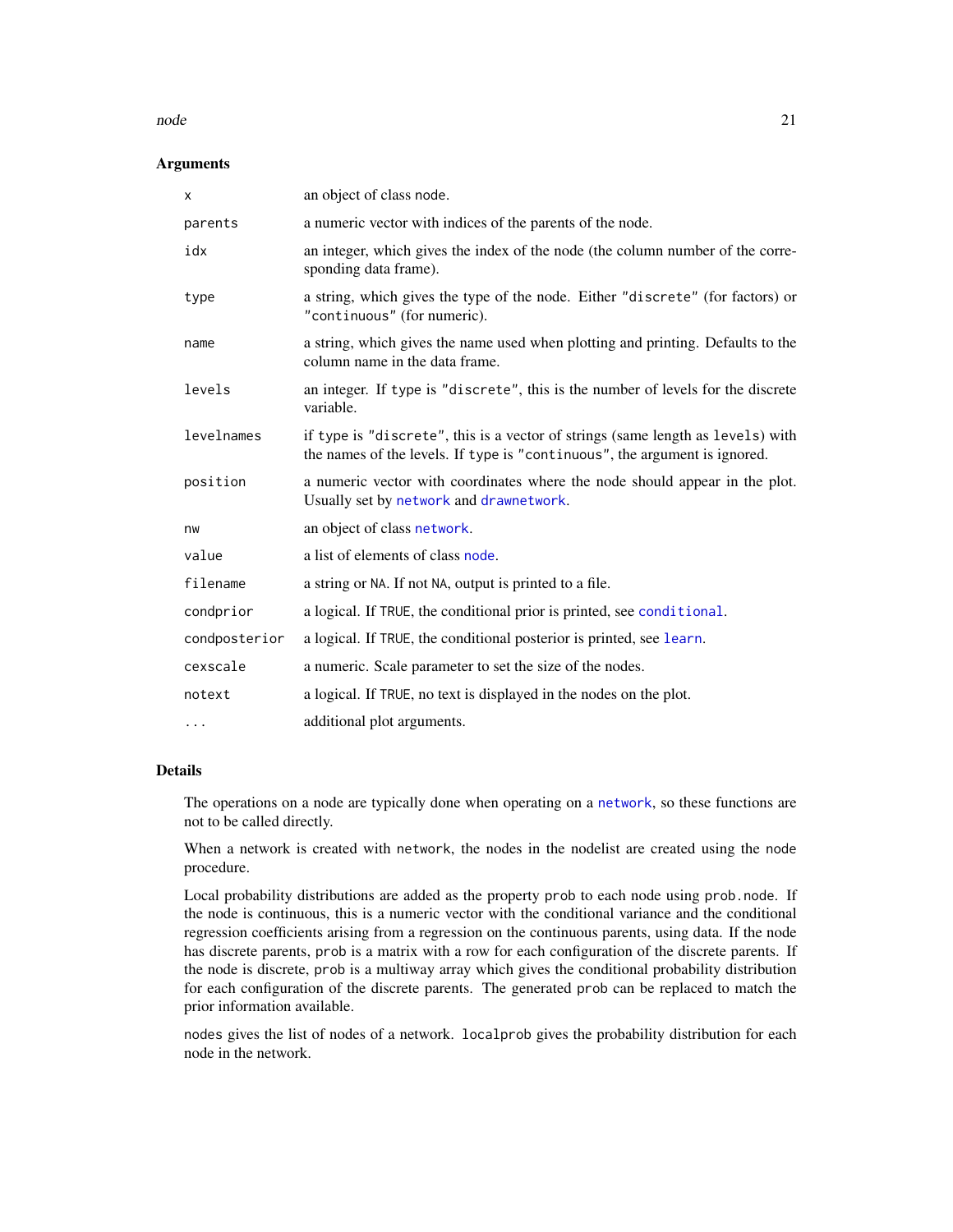#### <span id="page-20-0"></span>node 21 and 21 and 22 and 22 and 22 and 22 and 22 and 22 and 22 and 22 and 22 and 22 and 22 and 22 and 22 and 22 and 22 and 22 and 22 and 22 and 22 and 22 and 22 and 22 and 22 and 22 and 22 and 22 and 22 and 22 and 22 and

# Arguments

| X             | an object of class node.                                                                                                                                      |
|---------------|---------------------------------------------------------------------------------------------------------------------------------------------------------------|
| parents       | a numeric vector with indices of the parents of the node.                                                                                                     |
| idx           | an integer, which gives the index of the node (the column number of the corre-<br>sponding data frame).                                                       |
| type          | a string, which gives the type of the node. Either "discrete" (for factors) or<br>"continuous" (for numeric).                                                 |
| name          | a string, which gives the name used when plotting and printing. Defaults to the<br>column name in the data frame.                                             |
| levels        | an integer. If type is "discrete", this is the number of levels for the discrete<br>variable.                                                                 |
| levelnames    | if type is "discrete", this is a vector of strings (same length as levels) with<br>the names of the levels. If type is "continuous", the argument is ignored. |
| position      | a numeric vector with coordinates where the node should appear in the plot.<br>Usually set by network and drawnetwork.                                        |
| nw            | an object of class network.                                                                                                                                   |
| value         | a list of elements of class node.                                                                                                                             |
| filename      | a string or NA. If not NA, output is printed to a file.                                                                                                       |
| condprior     | a logical. If TRUE, the conditional prior is printed, see conditional.                                                                                        |
| condposterior | a logical. If TRUE, the conditional posterior is printed, see learn.                                                                                          |
| cexscale      | a numeric. Scale parameter to set the size of the nodes.                                                                                                      |
| notext        | a logical. If TRUE, no text is displayed in the nodes on the plot.                                                                                            |
| $\cdots$      | additional plot arguments.                                                                                                                                    |

# Details

The operations on a node are typically done when operating on a [network](#page-14-1), so these functions are not to be called directly.

When a network is created with network, the nodes in the nodelist are created using the node procedure.

Local probability distributions are added as the property prob to each node using prob.node. If the node is continuous, this is a numeric vector with the conditional variance and the conditional regression coefficients arising from a regression on the continuous parents, using data. If the node has discrete parents, prob is a matrix with a row for each configuration of the discrete parents. If the node is discrete, prob is a multiway array which gives the conditional probability distribution for each configuration of the discrete parents. The generated prob can be replaced to match the prior information available.

nodes gives the list of nodes of a network. localprob gives the probability distribution for each node in the network.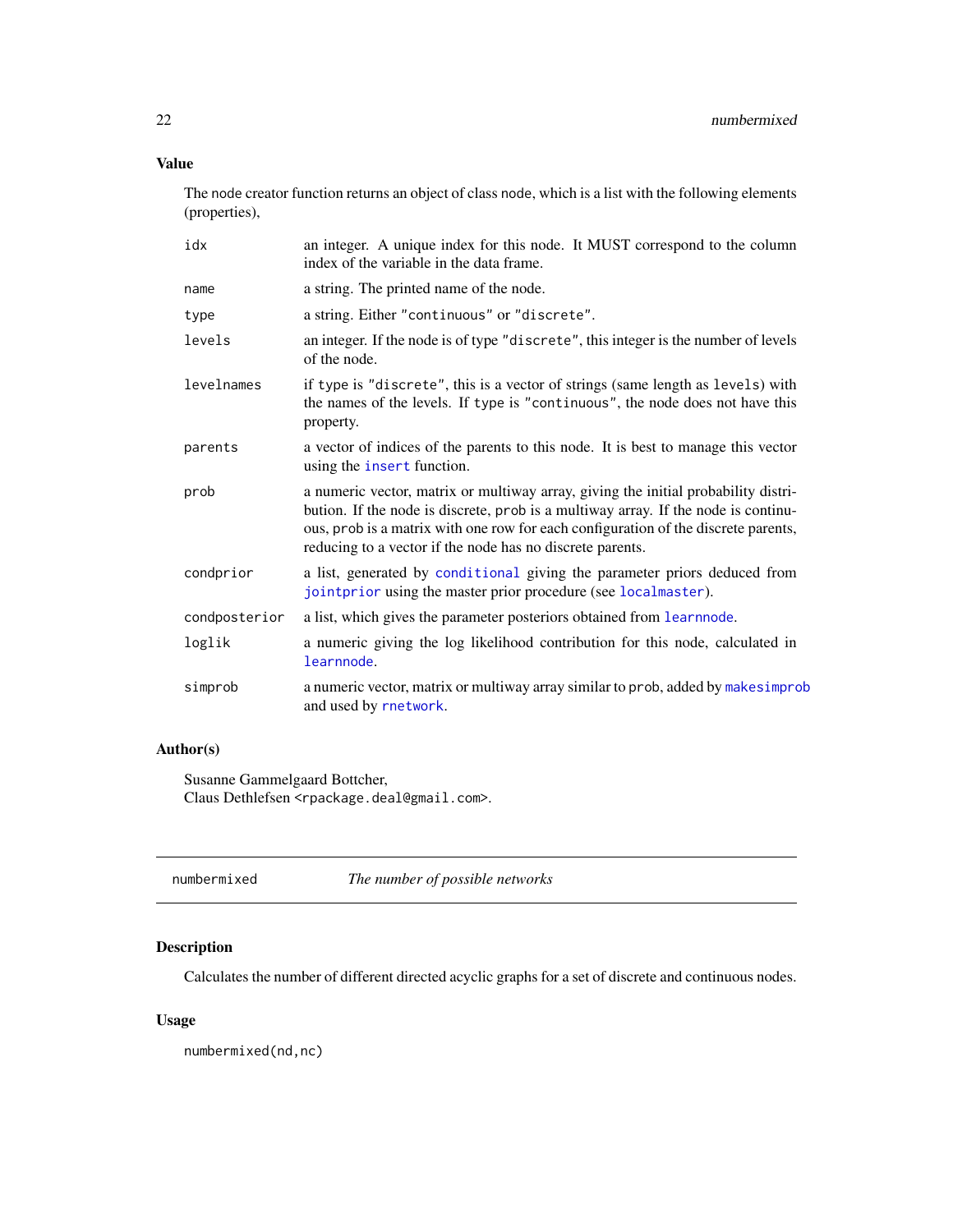# <span id="page-21-0"></span>Value

The node creator function returns an object of class node, which is a list with the following elements (properties),

| idx           | an integer. A unique index for this node. It MUST correspond to the column<br>index of the variable in the data frame.                                                                                                                                                                                                      |
|---------------|-----------------------------------------------------------------------------------------------------------------------------------------------------------------------------------------------------------------------------------------------------------------------------------------------------------------------------|
| name          | a string. The printed name of the node.                                                                                                                                                                                                                                                                                     |
| type          | a string. Either "continuous" or "discrete".                                                                                                                                                                                                                                                                                |
| levels        | an integer. If the node is of type "discrete", this integer is the number of levels<br>of the node.                                                                                                                                                                                                                         |
| levelnames    | if type is "discrete", this is a vector of strings (same length as levels) with<br>the names of the levels. If type is "continuous", the node does not have this<br>property.                                                                                                                                               |
| parents       | a vector of indices of the parents to this node. It is best to manage this vector<br>using the insert function.                                                                                                                                                                                                             |
| prob          | a numeric vector, matrix or multiway array, giving the initial probability distri-<br>bution. If the node is discrete, prob is a multiway array. If the node is continu-<br>ous, prob is a matrix with one row for each configuration of the discrete parents,<br>reducing to a vector if the node has no discrete parents. |
| condprior     | a list, generated by conditional giving the parameter priors deduced from<br>jointprior using the master prior procedure (see localmaster).                                                                                                                                                                                 |
| condposterior | a list, which gives the parameter posteriors obtained from learn node.                                                                                                                                                                                                                                                      |
| loglik        | a numeric giving the log likelihood contribution for this node, calculated in<br>learnnode.                                                                                                                                                                                                                                 |
| simprob       | a numeric vector, matrix or multiway array similar to prob, added by makes improb<br>and used by rnetwork.                                                                                                                                                                                                                  |

# Author(s)

Susanne Gammelgaard Bottcher, Claus Dethlefsen <rpackage.deal@gmail.com>.

| numbermixed | The number of possible networks |  |
|-------------|---------------------------------|--|
|-------------|---------------------------------|--|

# Description

Calculates the number of different directed acyclic graphs for a set of discrete and continuous nodes.

# Usage

numbermixed(nd,nc)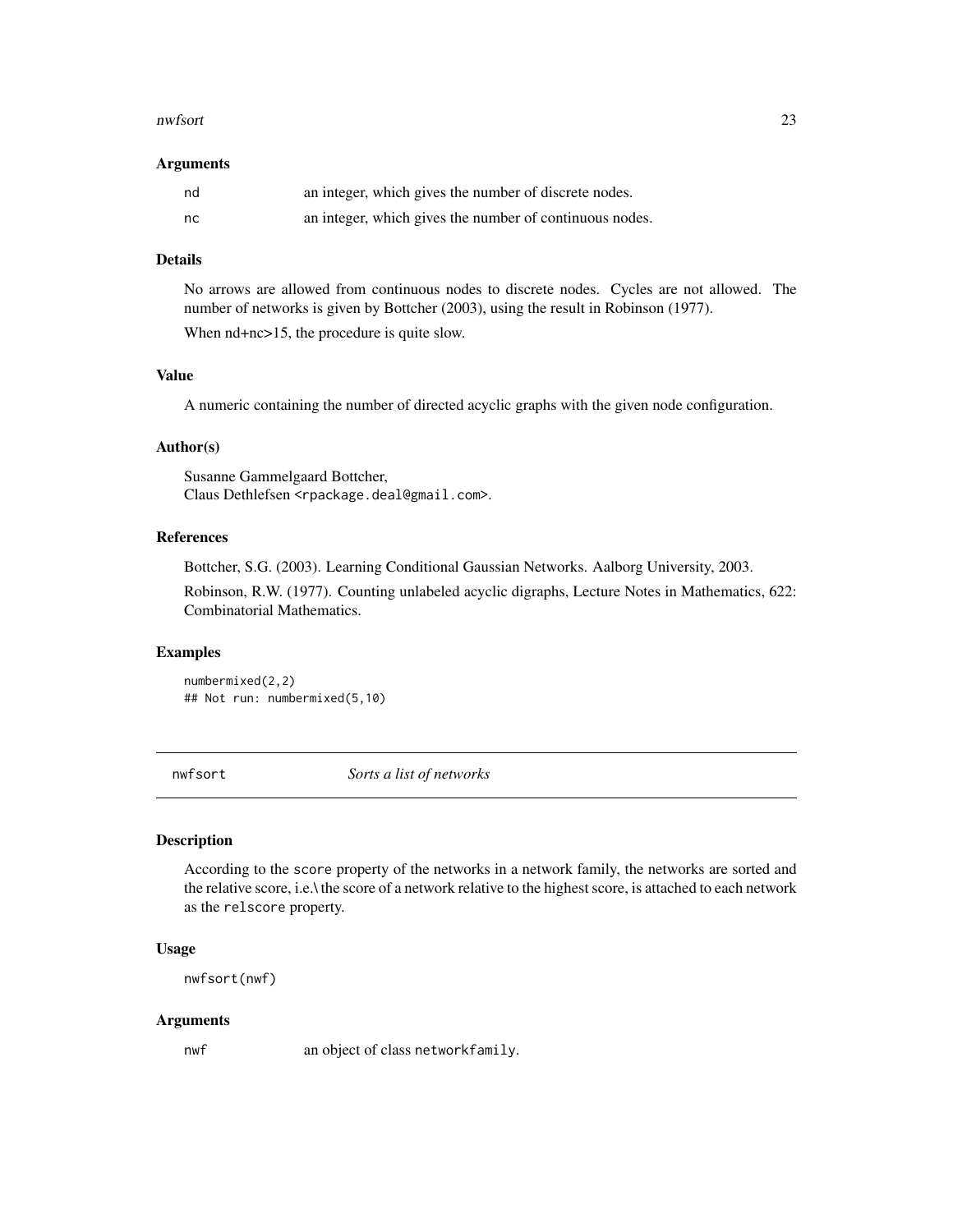#### <span id="page-22-0"></span>nwfsort 23

#### Arguments

| nd  | an integer, which gives the number of discrete nodes.   |
|-----|---------------------------------------------------------|
| nc. | an integer, which gives the number of continuous nodes. |

# Details

No arrows are allowed from continuous nodes to discrete nodes. Cycles are not allowed. The number of networks is given by Bottcher (2003), using the result in Robinson (1977).

When  $nd+nc>15$ , the procedure is quite slow.

# Value

A numeric containing the number of directed acyclic graphs with the given node configuration.

#### Author(s)

Susanne Gammelgaard Bottcher, Claus Dethlefsen <rpackage.deal@gmail.com>.

#### References

Bottcher, S.G. (2003). Learning Conditional Gaussian Networks. Aalborg University, 2003.

Robinson, R.W. (1977). Counting unlabeled acyclic digraphs, Lecture Notes in Mathematics, 622: Combinatorial Mathematics.

#### Examples

numbermixed(2,2) ## Not run: numbermixed(5,10)

<span id="page-22-1"></span>nwfsort *Sorts a list of networks*

# Description

According to the score property of the networks in a network family, the networks are sorted and the relative score, i.e.\ the score of a network relative to the highest score, is attached to each network as the relscore property.

#### Usage

```
nwfsort(nwf)
```
#### Arguments

nwf an object of class networkfamily.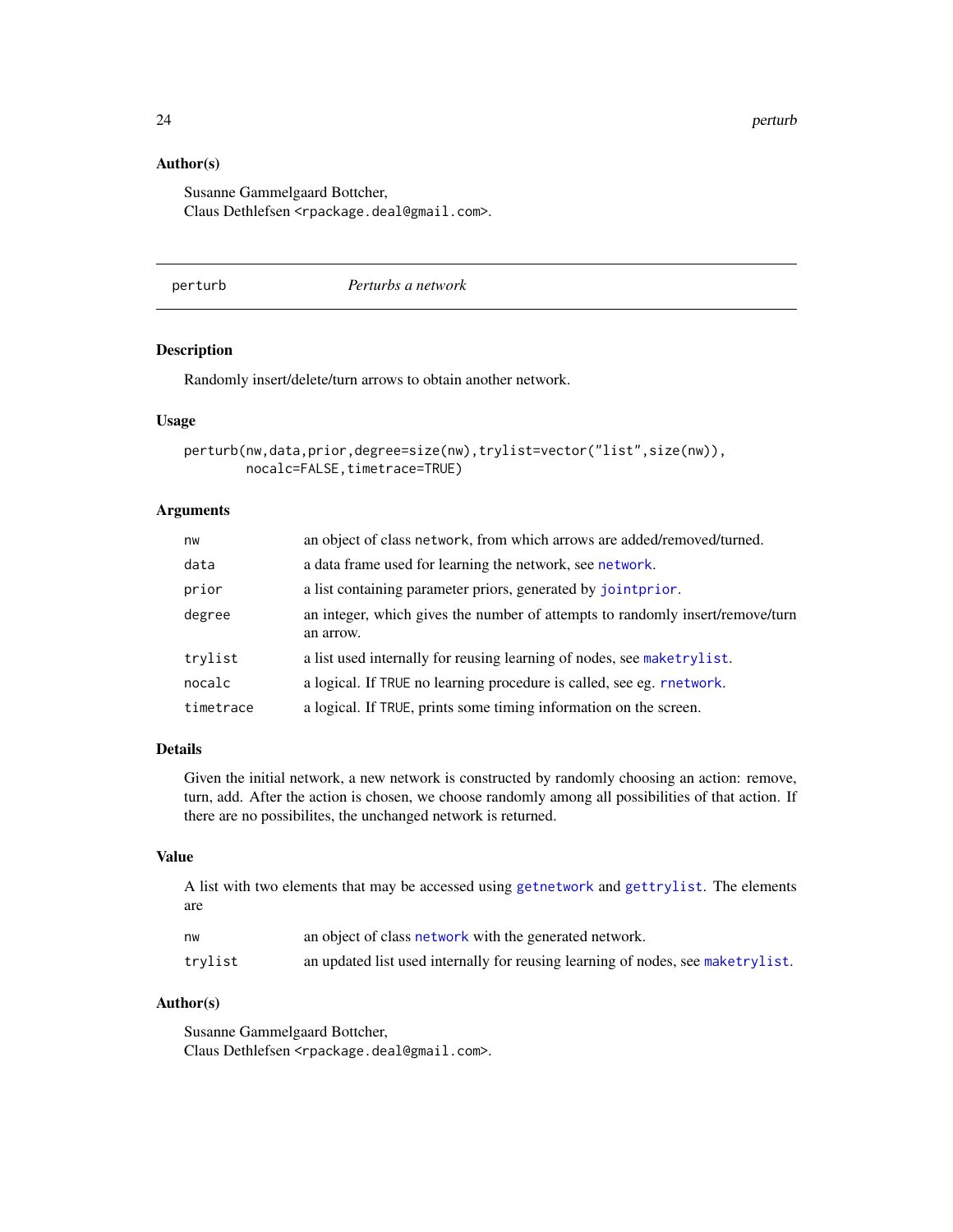24 perturb

# Author(s)

Susanne Gammelgaard Bottcher, Claus Dethlefsen <rpackage.deal@gmail.com>.

<span id="page-23-1"></span>perturb *Perturbs a network*

# Description

Randomly insert/delete/turn arrows to obtain another network.

#### Usage

```
perturb(nw,data,prior,degree=size(nw),trylist=vector("list",size(nw)),
        nocalc=FALSE, timetrace=TRUE)
```
#### Arguments

| nw        | an object of class network, from which arrows are added/removed/turned.                    |
|-----------|--------------------------------------------------------------------------------------------|
| data      | a data frame used for learning the network, see network.                                   |
| prior     | a list containing parameter priors, generated by joint prior.                              |
| degree    | an integer, which gives the number of attempts to randomly insert/remove/turn<br>an arrow. |
| trylist   | a list used internally for reusing learning of nodes, see maketrylist.                     |
| nocalc    | a logical. If TRUE no learning procedure is called, see eg. rnetwork.                      |
| timetrace | a logical. If TRUE, prints some timing information on the screen.                          |

# Details

Given the initial network, a new network is constructed by randomly choosing an action: remove, turn, add. After the action is chosen, we choose randomly among all possibilities of that action. If there are no possibilites, the unchanged network is returned.

# Value

A list with two elements that may be accessed using [getnetwork](#page-17-1) and [gettrylist](#page-17-1). The elements are

| nw      | an object of class network with the generated network.                          |
|---------|---------------------------------------------------------------------------------|
| trylist | an updated list used internally for reusing learning of nodes, see maketrylist. |

# Author(s)

Susanne Gammelgaard Bottcher, Claus Dethlefsen <rpackage.deal@gmail.com>.

<span id="page-23-0"></span>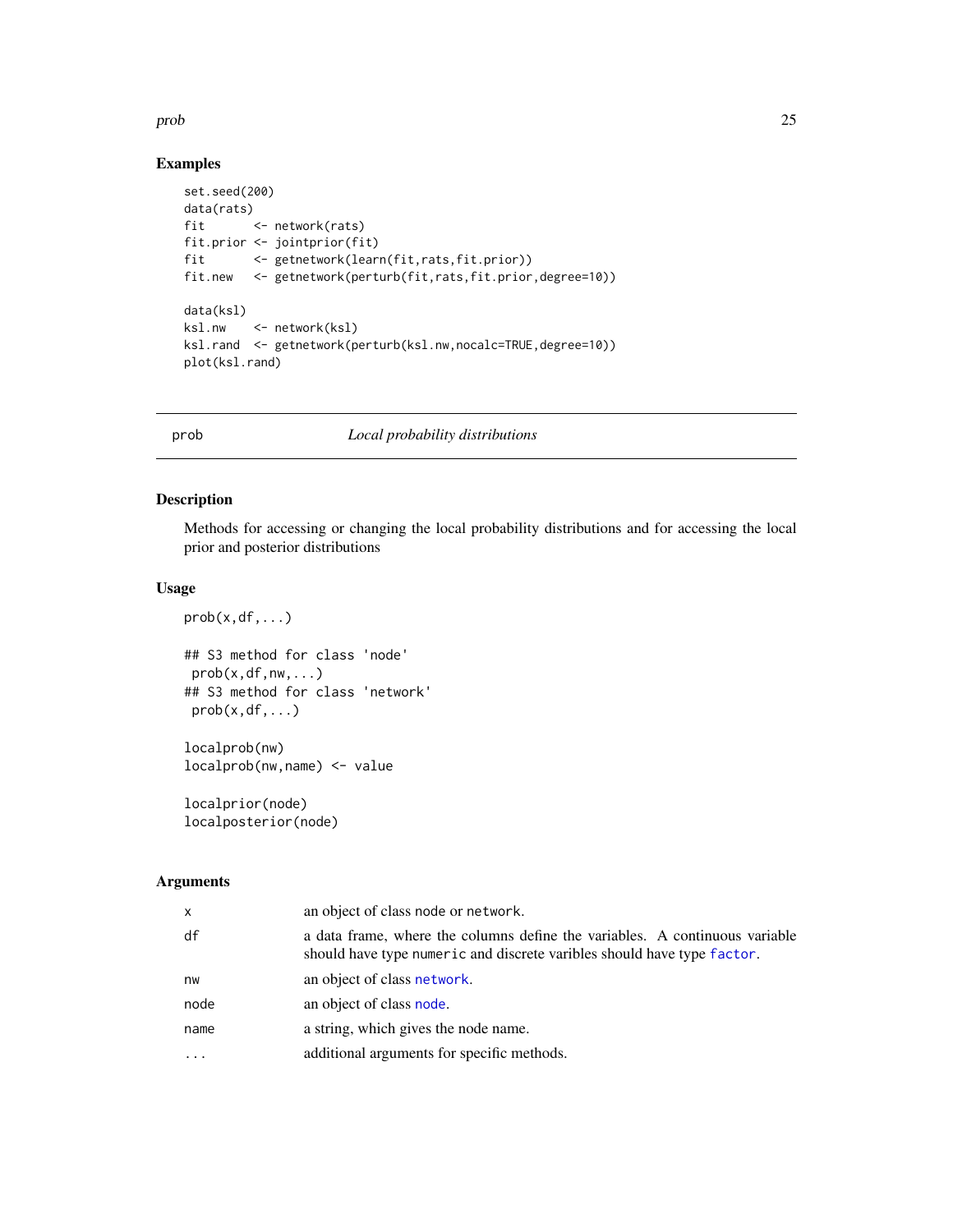#### <span id="page-24-0"></span>prob 25

# Examples

```
set.seed(200)
data(rats)
fit <- network(rats)
fit.prior <- jointprior(fit)
fit <- getnetwork(learn(fit,rats,fit.prior))
fit.new <- getnetwork(perturb(fit,rats,fit.prior,degree=10))
data(ksl)
ksl.nw <- network(ksl)
ksl.rand <- getnetwork(perturb(ksl.nw,nocalc=TRUE,degree=10))
plot(ksl.rand)
```
# <span id="page-24-1"></span>prob *Local probability distributions*

# <span id="page-24-2"></span>Description

Methods for accessing or changing the local probability distributions and for accessing the local prior and posterior distributions

# Usage

```
prob(x, df, \ldots)## S3 method for class 'node'
prob(x, df, nw, \ldots)## S3 method for class 'network'
prob(x,df,...)
localprob(nw)
```
localprob(nw,name) <- value

localprior(node) localposterior(node)

# Arguments

| X    | an object of class node or network.                                                                                                                    |
|------|--------------------------------------------------------------------------------------------------------------------------------------------------------|
| df   | a data frame, where the columns define the variables. A continuous variable<br>should have type numeric and discrete varibles should have type factor. |
| nw   | an object of class network.                                                                                                                            |
| node | an object of class node.                                                                                                                               |
| name | a string, which gives the node name.                                                                                                                   |
|      | additional arguments for specific methods.                                                                                                             |
|      |                                                                                                                                                        |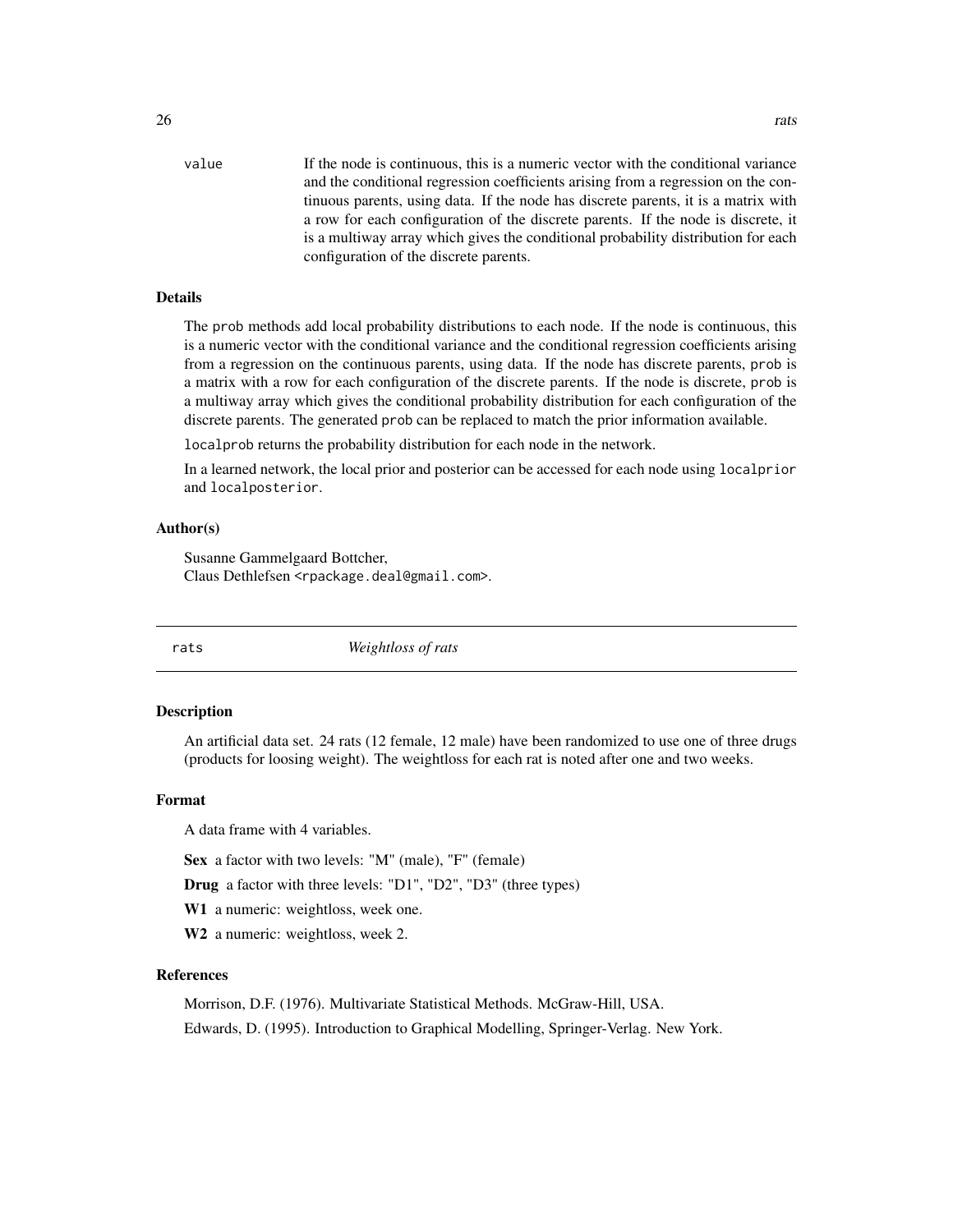<span id="page-25-0"></span>value If the node is continuous, this is a numeric vector with the conditional variance and the conditional regression coefficients arising from a regression on the continuous parents, using data. If the node has discrete parents, it is a matrix with a row for each configuration of the discrete parents. If the node is discrete, it is a multiway array which gives the conditional probability distribution for each configuration of the discrete parents.

#### Details

The prob methods add local probability distributions to each node. If the node is continuous, this is a numeric vector with the conditional variance and the conditional regression coefficients arising from a regression on the continuous parents, using data. If the node has discrete parents, prob is a matrix with a row for each configuration of the discrete parents. If the node is discrete, prob is a multiway array which gives the conditional probability distribution for each configuration of the discrete parents. The generated prob can be replaced to match the prior information available.

localprob returns the probability distribution for each node in the network.

In a learned network, the local prior and posterior can be accessed for each node using localprior and localposterior.

#### Author(s)

Susanne Gammelgaard Bottcher, Claus Dethlefsen <rpackage.deal@gmail.com>.

rats *Weightloss of rats*

#### Description

An artificial data set. 24 rats (12 female, 12 male) have been randomized to use one of three drugs (products for loosing weight). The weightloss for each rat is noted after one and two weeks.

#### Format

A data frame with 4 variables.

Sex a factor with two levels: "M" (male), "F" (female)

Drug a factor with three levels: "D1", "D2", "D3" (three types)

W1 a numeric: weightloss, week one.

W<sub>2</sub> a numeric: weightloss, week 2.

#### References

Morrison, D.F. (1976). Multivariate Statistical Methods. McGraw-Hill, USA.

Edwards, D. (1995). Introduction to Graphical Modelling, Springer-Verlag. New York.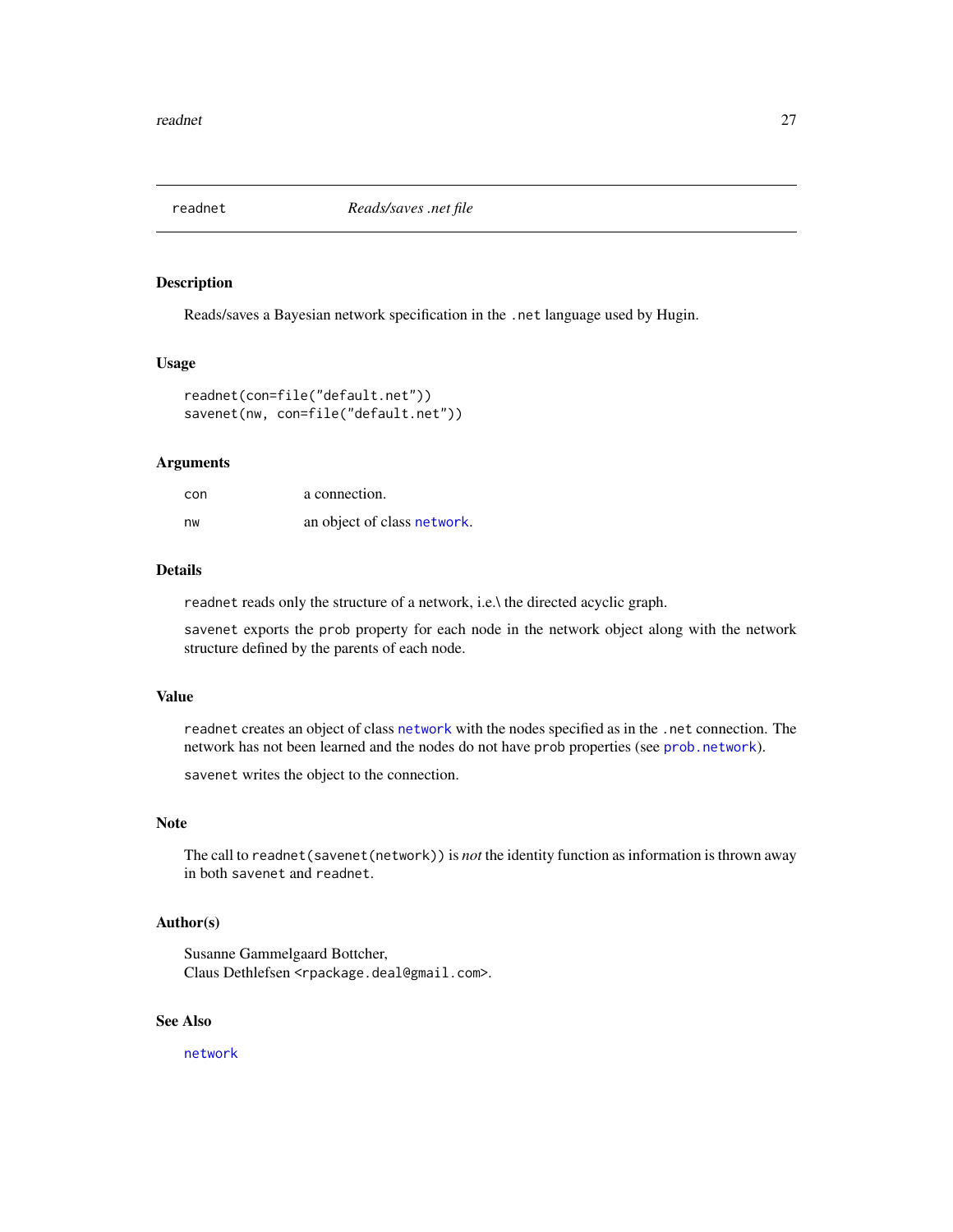<span id="page-26-0"></span>

# Description

Reads/saves a Bayesian network specification in the .net language used by Hugin.

#### Usage

```
readnet(con=file("default.net"))
savenet(nw, con=file("default.net"))
```
#### Arguments

| con | a connection.               |
|-----|-----------------------------|
| nw  | an object of class network. |

#### Details

readnet reads only the structure of a network, i.e.\ the directed acyclic graph.

savenet exports the prob property for each node in the network object along with the network structure defined by the parents of each node.

# Value

readnet creates an object of class [network](#page-14-1) with the nodes specified as in the .net connection. The network has not been learned and the nodes do not have prob properties (see [prob.network](#page-24-2)).

savenet writes the object to the connection.

# Note

The call to readnet(savenet(network)) is *not* the identity function as information is thrown away in both savenet and readnet.

# Author(s)

Susanne Gammelgaard Bottcher, Claus Dethlefsen <rpackage.deal@gmail.com>.

### See Also

[network](#page-14-1)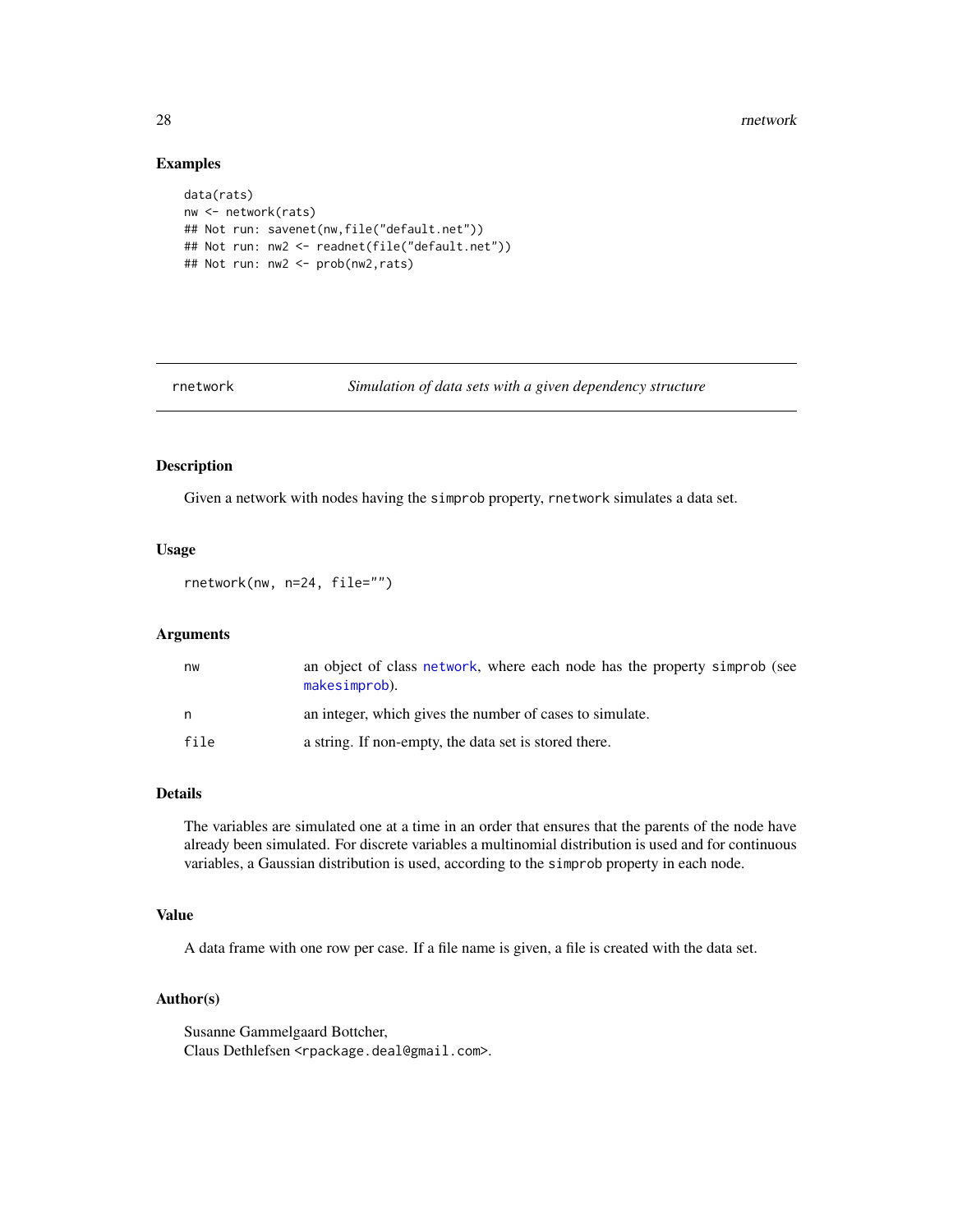28 rnetwork and the set of the set of the set of the set of the set of the set of the set of the set of the set of the set of the set of the set of the set of the set of the set of the set of the set of the set of the set

# Examples

```
data(rats)
nw <- network(rats)
## Not run: savenet(nw,file("default.net"))
## Not run: nw2 <- readnet(file("default.net"))
## Not run: nw2 <- prob(nw2,rats)
```
<span id="page-27-1"></span>

rnetwork *Simulation of data sets with a given dependency structure*

# Description

Given a network with nodes having the simprob property, rnetwork simulates a data set.

#### Usage

rnetwork(nw, n=24, file="")

# Arguments

| nw   | an object of class network, where each node has the property simprob (see<br>makesimprob). |
|------|--------------------------------------------------------------------------------------------|
| n.   | an integer, which gives the number of cases to simulate.                                   |
| file | a string. If non-empty, the data set is stored there.                                      |

# Details

The variables are simulated one at a time in an order that ensures that the parents of the node have already been simulated. For discrete variables a multinomial distribution is used and for continuous variables, a Gaussian distribution is used, according to the simprob property in each node.

# Value

A data frame with one row per case. If a file name is given, a file is created with the data set.

# Author(s)

Susanne Gammelgaard Bottcher, Claus Dethlefsen <rpackage.deal@gmail.com>.

<span id="page-27-0"></span>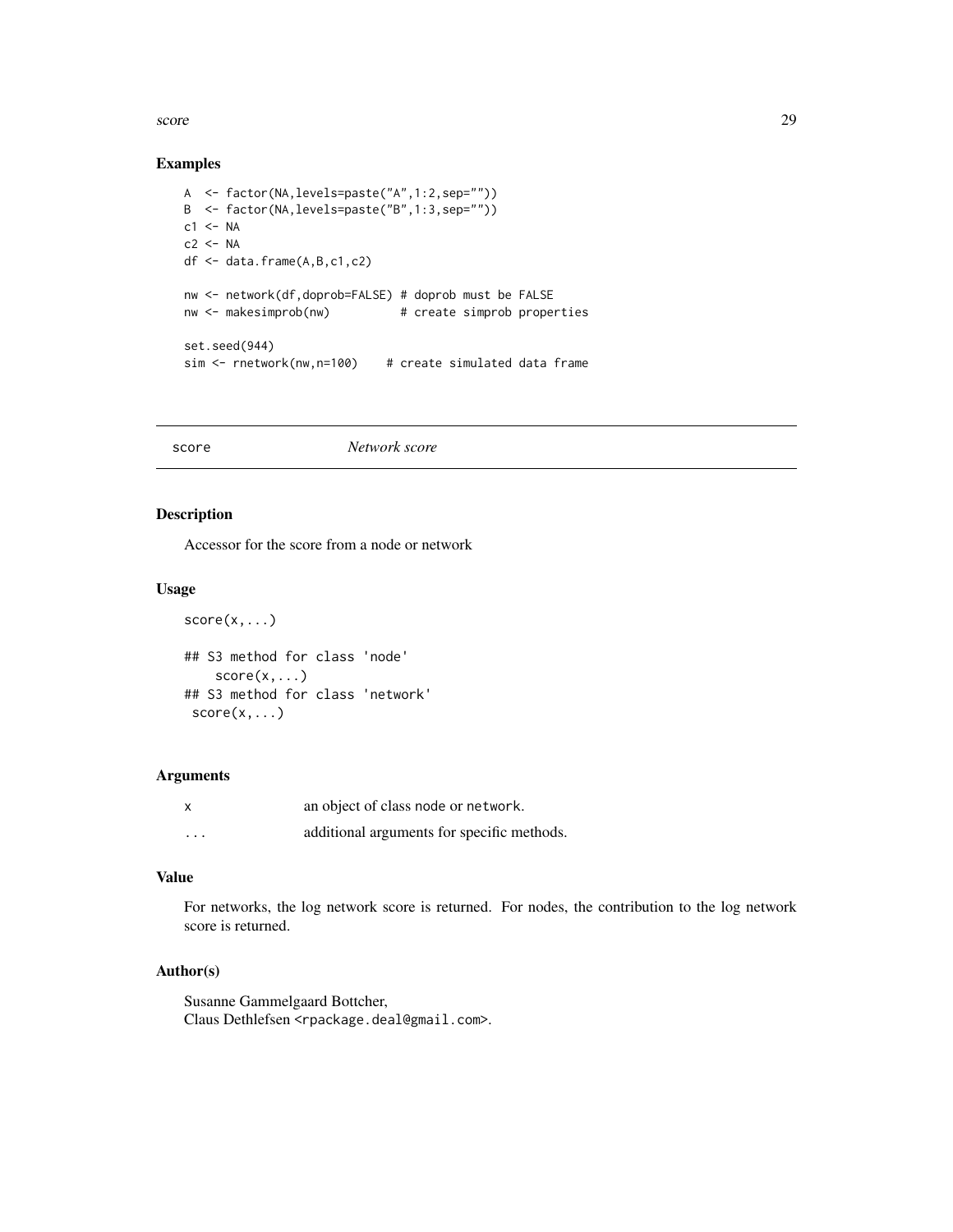<span id="page-28-0"></span>score and the contract of the contract of the contract of the contract of the contract of the contract of the contract of the contract of the contract of the contract of the contract of the contract of the contract of the

# Examples

```
A <- factor(NA,levels=paste("A",1:2,sep=""))
B <- factor(NA,levels=paste("B",1:3,sep=""))
c1 < -NAc2 < -NAdf <- data.frame(A,B,c1,c2)
nw <- network(df,doprob=FALSE) # doprob must be FALSE
nw <- makesimprob(nw) # create simprob properties
set.seed(944)
sim <- rnetwork(nw,n=100) # create simulated data frame
```
score *Network score*

# Description

Accessor for the score from a node or network

# Usage

```
score(x, \ldots)## S3 method for class 'node'
    score(x, \ldots)## S3 method for class 'network'
 score(x, \ldots)
```
#### Arguments

| x        | an object of class node or network.        |
|----------|--------------------------------------------|
| $\cdots$ | additional arguments for specific methods. |

# Value

For networks, the log network score is returned. For nodes, the contribution to the log network score is returned.

# Author(s)

Susanne Gammelgaard Bottcher, Claus Dethlefsen <rpackage.deal@gmail.com>.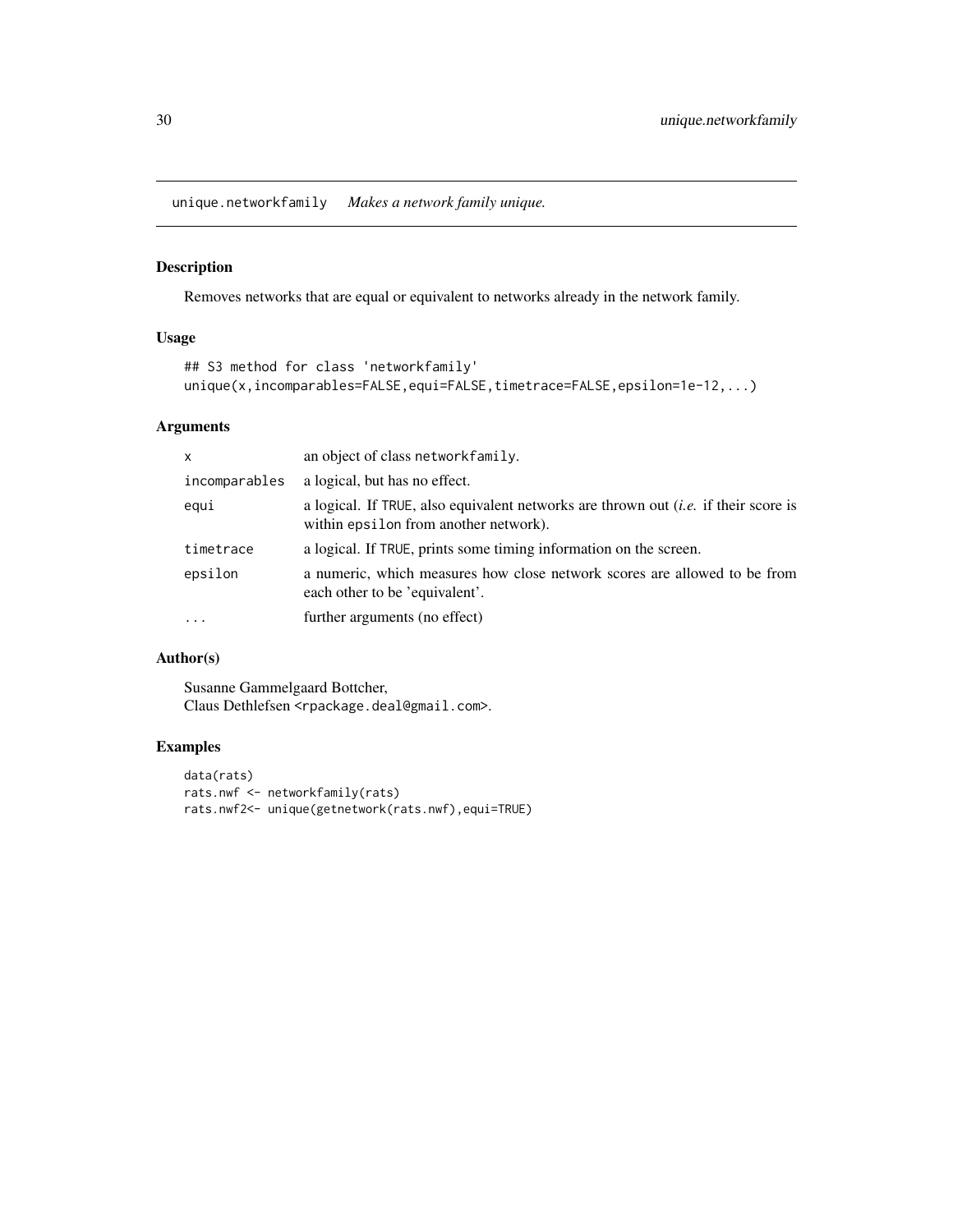<span id="page-29-1"></span><span id="page-29-0"></span>unique.networkfamily *Makes a network family unique.*

# Description

Removes networks that are equal or equivalent to networks already in the network family.

# Usage

```
## S3 method for class 'networkfamily'
unique(x,incomparables=FALSE,equi=FALSE,timetrace=FALSE,epsilon=1e-12,...)
```
# Arguments

| $\mathsf{x}$  | an object of class networkfamily.                                                                                                   |
|---------------|-------------------------------------------------------------------------------------------------------------------------------------|
| incomparables | a logical, but has no effect.                                                                                                       |
| equi          | a logical. If TRUE, also equivalent networks are thrown out <i>(i.e.</i> if their score is<br>within epsilon from another network). |
| timetrace     | a logical. If TRUE, prints some timing information on the screen.                                                                   |
| epsilon       | a numeric, which measures how close network scores are allowed to be from<br>each other to be 'equivalent'.                         |
| $\cdot$       | further arguments (no effect)                                                                                                       |

# Author(s)

Susanne Gammelgaard Bottcher, Claus Dethlefsen <rpackage.deal@gmail.com>.

# Examples

```
data(rats)
rats.nwf <- networkfamily(rats)
rats.nwf2<- unique(getnetwork(rats.nwf),equi=TRUE)
```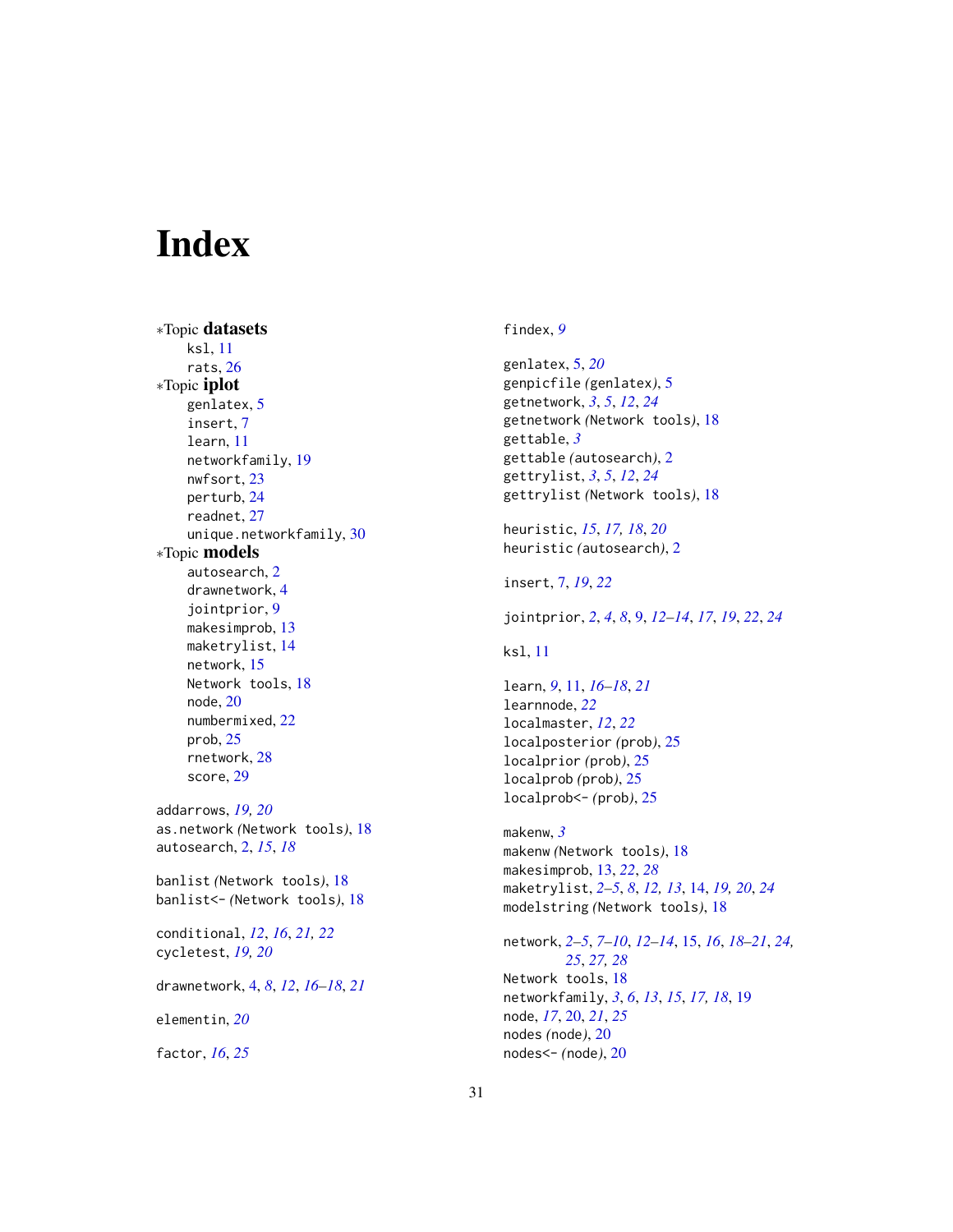# <span id="page-30-0"></span>**Index**

∗Topic datasets ksl, [11](#page-10-0) rats, [26](#page-25-0) ∗Topic iplot genlatex, [5](#page-4-0) insert, [7](#page-6-0) learn, [11](#page-10-0) networkfamily, [19](#page-18-0) nwfsort, [23](#page-22-0) perturb, [24](#page-23-0) readnet, [27](#page-26-0) unique.networkfamily, [30](#page-29-0) ∗Topic models autosearch, [2](#page-1-0) drawnetwork, [4](#page-3-0) jointprior, [9](#page-8-0) makesimprob, [13](#page-12-0) maketrylist, [14](#page-13-0) network, [15](#page-14-0) Network tools, [18](#page-17-0) node, [20](#page-19-0) numbermixed, [22](#page-21-0) prob, [25](#page-24-0) rnetwork, [28](#page-27-0) score, [29](#page-28-0) addarrows, *[19,](#page-18-0) [20](#page-19-0)* as.network *(*Network tools*)*, [18](#page-17-0) autosearch, [2,](#page-1-0) *[15](#page-14-0)*, *[18](#page-17-0)* banlist *(*Network tools*)*, [18](#page-17-0) banlist<- *(*Network tools*)*, [18](#page-17-0) conditional, *[12](#page-11-0)*, *[16](#page-15-0)*, *[21,](#page-20-0) [22](#page-21-0)* cycletest, *[19,](#page-18-0) [20](#page-19-0)* drawnetwork, [4,](#page-3-0) *[8](#page-7-0)*, *[12](#page-11-0)*, *[16–](#page-15-0)[18](#page-17-0)*, *[21](#page-20-0)* elementin, *[20](#page-19-0)* factor, *[16](#page-15-0)*, *[25](#page-24-0)*

findex, *[9](#page-8-0)*

genlatex, [5,](#page-4-0) *[20](#page-19-0)* genpicfile *(*genlatex*)*, [5](#page-4-0) getnetwork, *[3](#page-2-0)*, *[5](#page-4-0)*, *[12](#page-11-0)*, *[24](#page-23-0)* getnetwork *(*Network tools*)*, [18](#page-17-0) gettable, *[3](#page-2-0)* gettable *(*autosearch*)*, [2](#page-1-0) gettrylist, *[3](#page-2-0)*, *[5](#page-4-0)*, *[12](#page-11-0)*, *[24](#page-23-0)* gettrylist *(*Network tools*)*, [18](#page-17-0) heuristic, *[15](#page-14-0)*, *[17,](#page-16-0) [18](#page-17-0)*, *[20](#page-19-0)* heuristic *(*autosearch*)*, [2](#page-1-0) insert, [7,](#page-6-0) *[19](#page-18-0)*, *[22](#page-21-0)* jointprior, *[2](#page-1-0)*, *[4](#page-3-0)*, *[8](#page-7-0)*, [9,](#page-8-0) *[12](#page-11-0)[–14](#page-13-0)*, *[17](#page-16-0)*, *[19](#page-18-0)*, *[22](#page-21-0)*, *[24](#page-23-0)* ksl, [11](#page-10-0) learn, *[9](#page-8-0)*, [11,](#page-10-0) *[16](#page-15-0)[–18](#page-17-0)*, *[21](#page-20-0)* learnnode, *[22](#page-21-0)* localmaster, *[12](#page-11-0)*, *[22](#page-21-0)* localposterior *(*prob*)*, [25](#page-24-0) localprior *(*prob*)*, [25](#page-24-0) localprob *(*prob*)*, [25](#page-24-0) localprob<- *(*prob*)*, [25](#page-24-0) makenw, *[3](#page-2-0)* makenw *(*Network tools*)*, [18](#page-17-0) makesimprob, [13,](#page-12-0) *[22](#page-21-0)*, *[28](#page-27-0)* maketrylist, *[2](#page-1-0)[–5](#page-4-0)*, *[8](#page-7-0)*, *[12,](#page-11-0) [13](#page-12-0)*, [14,](#page-13-0) *[19,](#page-18-0) [20](#page-19-0)*, *[24](#page-23-0)* modelstring *(*Network tools*)*, [18](#page-17-0) network, *[2](#page-1-0)[–5](#page-4-0)*, *[7](#page-6-0)[–10](#page-9-0)*, *[12](#page-11-0)[–14](#page-13-0)*, [15,](#page-14-0) *[16](#page-15-0)*, *[18](#page-17-0)[–21](#page-20-0)*, *[24,](#page-23-0) [25](#page-24-0)*, *[27,](#page-26-0) [28](#page-27-0)* Network tools, [18](#page-17-0) networkfamily, *[3](#page-2-0)*, *[6](#page-5-0)*, *[13](#page-12-0)*, *[15](#page-14-0)*, *[17,](#page-16-0) [18](#page-17-0)*, [19](#page-18-0) node, *[17](#page-16-0)*, [20,](#page-19-0) *[21](#page-20-0)*, *[25](#page-24-0)* nodes *(*node*)*, [20](#page-19-0) nodes<- *(*node*)*, [20](#page-19-0)